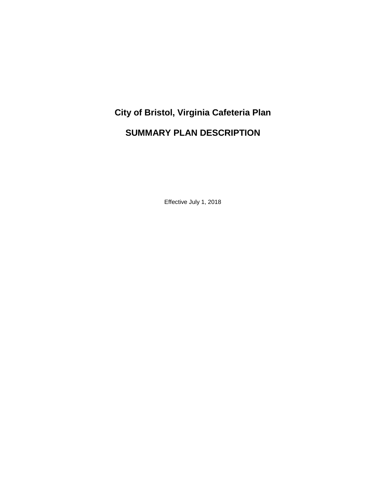# **City of Bristol, Virginia Cafeteria Plan SUMMARY PLAN DESCRIPTION**

Effective July 1, 2018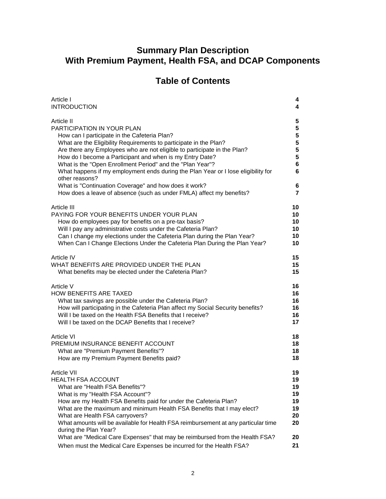## **Summary Plan Description With Premium Payment, Health FSA, and DCAP Components**

# **Table of Contents**

| Article I                                                                                                                                                                                                                                                                                                                                                                                                                                                                                                                                                                                                         | 4                                                           |
|-------------------------------------------------------------------------------------------------------------------------------------------------------------------------------------------------------------------------------------------------------------------------------------------------------------------------------------------------------------------------------------------------------------------------------------------------------------------------------------------------------------------------------------------------------------------------------------------------------------------|-------------------------------------------------------------|
| <b>INTRODUCTION</b>                                                                                                                                                                                                                                                                                                                                                                                                                                                                                                                                                                                               | 4                                                           |
| Article II<br><b>PARTICIPATION IN YOUR PLAN</b><br>How can I participate in the Cafeteria Plan?<br>What are the Eligibility Requirements to participate in the Plan?<br>Are there any Employees who are not eligible to participate in the Plan?<br>How do I become a Participant and when is my Entry Date?<br>What is the "Open Enrollment Period" and the "Plan Year"?<br>What happens if my employment ends during the Plan Year or I lose eligibility for<br>other reasons?<br>What is "Continuation Coverage" and how does it work?<br>How does a leave of absence (such as under FMLA) affect my benefits? | 5<br>5<br>5<br>5<br>5<br>5<br>6<br>6<br>6<br>$\overline{7}$ |
| Article III                                                                                                                                                                                                                                                                                                                                                                                                                                                                                                                                                                                                       | 10                                                          |
| PAYING FOR YOUR BENEFITS UNDER YOUR PLAN                                                                                                                                                                                                                                                                                                                                                                                                                                                                                                                                                                          | 10                                                          |
| How do employees pay for benefits on a pre-tax basis?                                                                                                                                                                                                                                                                                                                                                                                                                                                                                                                                                             | 10                                                          |
| Will I pay any administrative costs under the Cafeteria Plan?                                                                                                                                                                                                                                                                                                                                                                                                                                                                                                                                                     | 10                                                          |
| Can I change my elections under the Cafeteria Plan during the Plan Year?                                                                                                                                                                                                                                                                                                                                                                                                                                                                                                                                          | 10                                                          |
| When Can I Change Elections Under the Cafeteria Plan During the Plan Year?                                                                                                                                                                                                                                                                                                                                                                                                                                                                                                                                        | 10                                                          |
| Article IV                                                                                                                                                                                                                                                                                                                                                                                                                                                                                                                                                                                                        | 15                                                          |
| WHAT BENEFITS ARE PROVIDED UNDER THE PLAN                                                                                                                                                                                                                                                                                                                                                                                                                                                                                                                                                                         | 15                                                          |
| What benefits may be elected under the Cafeteria Plan?                                                                                                                                                                                                                                                                                                                                                                                                                                                                                                                                                            | 15                                                          |
| Article V                                                                                                                                                                                                                                                                                                                                                                                                                                                                                                                                                                                                         | 16                                                          |
| <b>HOW BENEFITS ARE TAXED</b>                                                                                                                                                                                                                                                                                                                                                                                                                                                                                                                                                                                     | 16                                                          |
| What tax savings are possible under the Cafeteria Plan?                                                                                                                                                                                                                                                                                                                                                                                                                                                                                                                                                           | 16                                                          |
| How will participating in the Cafeteria Plan affect my Social Security benefits?                                                                                                                                                                                                                                                                                                                                                                                                                                                                                                                                  | 16                                                          |
| Will I be taxed on the Health FSA Benefits that I receive?                                                                                                                                                                                                                                                                                                                                                                                                                                                                                                                                                        | 16                                                          |
| Will I be taxed on the DCAP Benefits that I receive?                                                                                                                                                                                                                                                                                                                                                                                                                                                                                                                                                              | 17                                                          |
| <b>Article VI</b>                                                                                                                                                                                                                                                                                                                                                                                                                                                                                                                                                                                                 | 18                                                          |
| PREMIUM INSURANCE BENEFIT ACCOUNT                                                                                                                                                                                                                                                                                                                                                                                                                                                                                                                                                                                 | 18                                                          |
| What are "Premium Payment Benefits"?                                                                                                                                                                                                                                                                                                                                                                                                                                                                                                                                                                              | 18                                                          |
| How are my Premium Payment Benefits paid?                                                                                                                                                                                                                                                                                                                                                                                                                                                                                                                                                                         | 18                                                          |
| <b>Article VII</b><br>HEALTH FSA ACCOUNT<br>What are "Health FSA Benefits"?<br>What is my "Health FSA Account"?<br>How are my Health FSA Benefits paid for under the Cafeteria Plan?<br>What are the maximum and minimum Health FSA Benefits that I may elect?<br>What are Health FSA carryovers?<br>What amounts will be available for Health FSA reimbursement at any particular time<br>during the Plan Year?<br>What are "Medical Care Expenses" that may be reimbursed from the Health FSA?<br>When must the Medical Care Expenses be incurred for the Health FSA?                                           | 19<br>19<br>19<br>19<br>19<br>19<br>20<br>20<br>20<br>21    |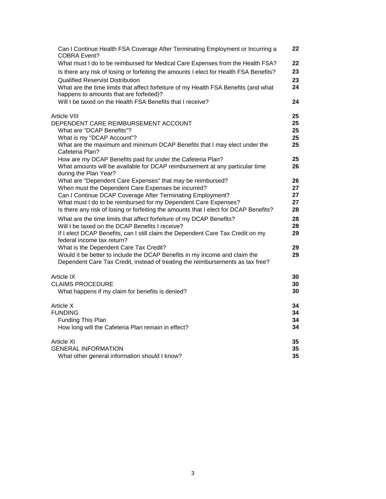| Can I Continue Health FSA Coverage After Terminating Employment or Incurring a<br><b>COBRA Event?</b>                                                                                                                                             | 22                         |
|---------------------------------------------------------------------------------------------------------------------------------------------------------------------------------------------------------------------------------------------------|----------------------------|
| What must I do to be reimbursed for Medical Care Expenses from the Health FSA?<br>Is there any risk of losing or forfeiting the amounts I elect for Health FSA Benefits?<br><b>Qualified Reservist Distribution</b>                               | 22<br>23<br>23             |
| What are the time limits that affect forfeiture of my Health FSA Benefits (and what<br>happens to amounts that are forfeited)?                                                                                                                    | 24                         |
| Will I be taxed on the Health FSA Benefits that I receive?                                                                                                                                                                                        | 24                         |
| Article VIII<br>DEPENDENT CARE REIMBURSEMENT ACCOUNT<br>What are "DCAP Benefits"?<br>What is my "DCAP Account"?<br>What are the maximum and minimum DCAP Benefits that I may elect under the<br>Cafeteria Plan?                                   | 25<br>25<br>25<br>25<br>25 |
| How are my DCAP Benefits paid for under the Cafeteria Plan?<br>What amounts will be available for DCAP reimbursement at any particular time<br>during the Plan Year?                                                                              | 25<br>26                   |
| What are "Dependent Care Expenses" that may be reimbursed?<br>When must the Dependent Care Expenses be incurred?<br>Can I Continue DCAP Coverage After Terminating Employment?<br>What must I do to be reimbursed for my Dependent Care Expenses? | 26<br>27<br>27<br>27       |
| Is there any risk of losing or forfeiting the amounts that I elect for DCAP Benefits?<br>What are the time limits that affect forfeiture of my DCAP Benefits?                                                                                     | 28<br>28                   |
| Will I be taxed on the DCAP Benefits I receive?                                                                                                                                                                                                   | 28                         |
| If I elect DCAP Benefits, can I still claim the Dependent Care Tax Credit on my<br>federal income tax return?                                                                                                                                     | 29                         |
| What is the Dependent Care Tax Credit?<br>Would it be better to include the DCAP Benefits in my income and claim the                                                                                                                              | 29<br>29                   |
| Dependent Care Tax Credit, instead of treating the reimbursements as tax free?                                                                                                                                                                    |                            |
| Article IX<br><b>CLAIMS PROCEDURE</b>                                                                                                                                                                                                             | 30<br>30                   |
| What happens if my claim for benefits is denied?                                                                                                                                                                                                  | 30                         |
| Article X<br><b>FUNDING</b>                                                                                                                                                                                                                       | 34<br>34                   |
| Funding This Plan                                                                                                                                                                                                                                 | 34                         |
| How long will the Cafeteria Plan remain in effect?                                                                                                                                                                                                | 34                         |
| <b>Article XI</b>                                                                                                                                                                                                                                 | 35                         |
| <b>GENERAL INFORMATION</b>                                                                                                                                                                                                                        | 35                         |
| What other general information should I know?                                                                                                                                                                                                     | 35                         |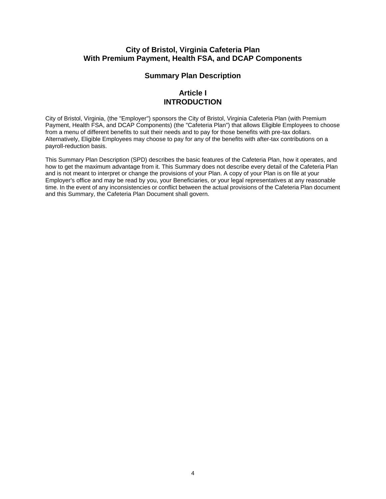## **City of Bristol, Virginia Cafeteria Plan With Premium Payment, Health FSA, and DCAP Components**

## **Summary Plan Description**

## **Article I INTRODUCTION**

City of Bristol, Virginia, (the "Employer") sponsors the City of Bristol, Virginia Cafeteria Plan (with Premium Payment, Health FSA, and DCAP Components) (the "Cafeteria Plan") that allows Eligible Employees to choose from a menu of different benefits to suit their needs and to pay for those benefits with pre-tax dollars. Alternatively, Eligible Employees may choose to pay for any of the benefits with after-tax contributions on a payroll-reduction basis.

This Summary Plan Description (SPD) describes the basic features of the Cafeteria Plan, how it operates, and how to get the maximum advantage from it. This Summary does not describe every detail of the Cafeteria Plan and is not meant to interpret or change the provisions of your Plan. A copy of your Plan is on file at your Employer's office and may be read by you, your Beneficiaries, or your legal representatives at any reasonable time. In the event of any inconsistencies or conflict between the actual provisions of the Cafeteria Plan document and this Summary, the Cafeteria Plan Document shall govern.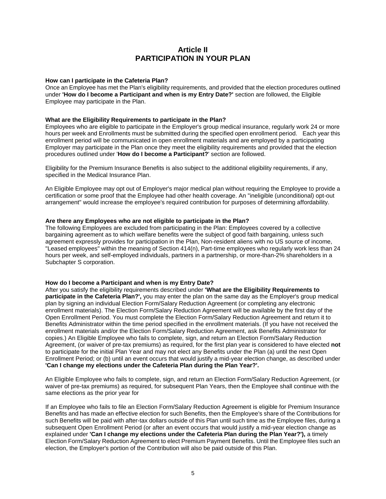## **Article II PARTICIPATION IN YOUR PLAN**

#### **How can I participate in the Cafeteria Plan?**

Once an Employee has met the Plan's eligibility requirements, and provided that the election procedures outlined under **'How do I become a Participant and when is my Entry Date?'** section are followed, the Eligible Employee may participate in the Plan.

#### **What are the Eligibility Requirements to participate in the Plan?**

Employees who are eligible to participate in the Employer's group medical insurance, regularly work 24 or more hours per week and Enrollments must be submitted during the specified open enrollment period. Each year this enrollment period will be communicated in open enrollment materials and are employed by a participating Employer may participate in the Plan once they meet the eligibility requirements and provided that the election procedures outlined under '**How do I become a Participant?**' section are followed.

Eligibility for the Premium Insurance Benefits is also subject to the additional eligibility requirements, if any, specified in the Medical Insurance Plan.

An Eligible Employee may opt out of Employer's major medical plan without requiring the Employee to provide a certification or some proof that the Employee had other health coverage. An "ineligible (unconditional) opt-out arrangement" would increase the employee's required contribution for purposes of determining affordability.

#### **Are there any Employees who are not eligible to participate in the Plan?**

The following Employees are excluded from participating in the Plan: Employees covered by a collective bargaining agreement as to which welfare benefits were the subject of good faith bargaining, unless such agreement expressly provides for participation in the Plan, Non-resident aliens with no US source of income, "Leased employees" within the meaning of Section 414(n), Part-time employees who regularly work less than 24 hours per week, and self-employed individuals, partners in a partnership, or more-than-2% shareholders in a Subchapter S corporation.

#### **How do I become a Participant and when is my Entry Date?**

After you satisfy the eligibility requirements described under **'What are the Eligibility Requirements to participate in the Cafeteria Plan?',** you may enter the plan on the same day as the Employer's group medical plan by signing an individual Election Form/Salary Reduction Agreement (or completing any electronic enrollment materials). The Election Form/Salary Reduction Agreement will be available by the first day of the Open Enrollment Period. You must complete the Election Form/Salary Reduction Agreement and return it to Benefits Administrator within the time period specified in the enrollment materials. (If you have not received the enrollment materials and/or the Election Form/Salary Reduction Agreement, ask Benefits Administrator for copies.) An Eligible Employee who fails to complete, sign, and return an Election Form/Salary Reduction Agreement, (or waiver of pre-tax premiums) as required, for the first plan year is considered to have elected **not** to participate for the initial Plan Year and may not elect any Benefits under the Plan (a) until the next Open Enrollment Period; or (b) until an event occurs that would justify a mid-year election change, as described under **'Can I change my elections under the Cafeteria Plan during the Plan Year?'.**

An Eligible Employee who fails to complete, sign, and return an Election Form/Salary Reduction Agreement, (or waiver of pre-tax premiums) as required, for subsequent Plan Years, then the Employee shall continue with the same elections as the prior year for

If an Employee who fails to file an Election Form/Salary Reduction Agreement is eligible for Premium Insurance Benefits and has made an effective election for such Benefits, then the Employee's share of the Contributions for such Benefits will be paid with after-tax dollars outside of this Plan until such time as the Employee files, during a subsequent Open Enrollment Period (or after an event occurs that would justify a mid-year election change as explained under **'Can I change my elections under the Cafeteria Plan during the Plan Year?'),** a timely Election Form/Salary Reduction Agreement to elect Premium Payment Benefits. Until the Employee files such an election, the Employer's portion of the Contribution will also be paid outside of this Plan.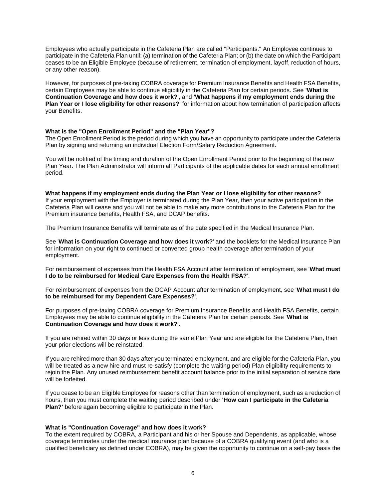Employees who actually participate in the Cafeteria Plan are called "Participants." An Employee continues to participate in the Cafeteria Plan until: (a) termination of the Cafeteria Plan; or (b) the date on which the Participant ceases to be an Eligible Employee (because of retirement, termination of employment, layoff, reduction of hours, or any other reason).

However, for purposes of pre-taxing COBRA coverage for Premium Insurance Benefits and Health FSA Benefits, certain Employees may be able to continue eligibility in the Cafeteria Plan for certain periods. See **'What is Continuation Coverage and how does it work?**', and **'What happens if my employment ends during the Plan Year or I lose eligibility for other reasons?**' for information about how termination of participation affects your Benefits.

#### **What is the "Open Enrollment Period" and the "Plan Year"?**

The Open Enrollment Period is the period during which you have an opportunity to participate under the Cafeteria Plan by signing and returning an individual Election Form/Salary Reduction Agreement.

You will be notified of the timing and duration of the Open Enrollment Period prior to the beginning of the new Plan Year. The Plan Administrator will inform all Participants of the applicable dates for each annual enrollment period.

#### **What happens if my employment ends during the Plan Year or I lose eligibility for other reasons?**

If your employment with the Employer is terminated during the Plan Year, then your active participation in the Cafeteria Plan will cease and you will not be able to make any more contributions to the Cafeteria Plan for the Premium insurance benefits, Health FSA, and DCAP benefits.

The Premium Insurance Benefits will terminate as of the date specified in the Medical Insurance Plan.

See '**What is Continuation Coverage and how does it work?**' and the booklets for the Medical Insurance Plan for information on your right to continued or converted group health coverage after termination of your employment.

For reimbursement of expenses from the Health FSA Account after termination of employment, see '**What must I do to be reimbursed for Medical Care Expenses from the Health FSA?**'.

For reimbursement of expenses from the DCAP Account after termination of employment, see '**What must I do to be reimbursed for my Dependent Care Expenses?**'.

For purposes of pre-taxing COBRA coverage for Premium Insurance Benefits and Health FSA Benefits, certain Employees may be able to continue eligibility in the Cafeteria Plan for certain periods. See '**What is Continuation Coverage and how does it work?**'.

If you are rehired within 30 days or less during the same Plan Year and are eligible for the Cafeteria Plan, then your prior elections will be reinstated.

If you are rehired more than 30 days after you terminated employment, and are eligible for the Cafeteria Plan, you will be treated as a new hire and must re-satisfy (complete the waiting period) Plan eligibility requirements to rejoin the Plan. Any unused reimbursement benefit account balance prior to the initial separation of service date will be forfeited.

If you cease to be an Eligible Employee for reasons other than termination of employment, such as a reduction of hours, then you must complete the waiting period described under **'How can I participate in the Cafeteria Plan?'** before again becoming eligible to participate in the Plan.

#### **What is "Continuation Coverage" and how does it work?**

To the extent required by COBRA, a Participant and his or her Spouse and Dependents, as applicable, whose coverage terminates under the medical insurance plan because of a COBRA qualifying event (and who is a qualified beneficiary as defined under COBRA), may be given the opportunity to continue on a self-pay basis the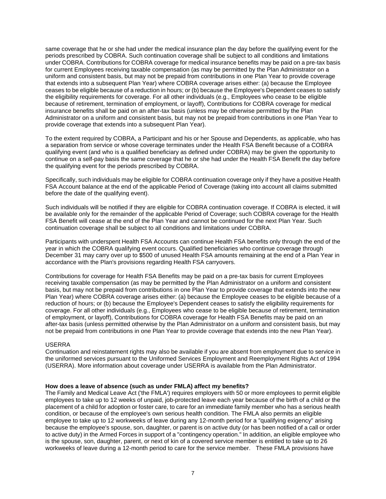same coverage that he or she had under the medical insurance plan the day before the qualifying event for the periods prescribed by COBRA. Such continuation coverage shall be subject to all conditions and limitations under COBRA. Contributions for COBRA coverage for medical insurance benefits may be paid on a pre-tax basis for current Employees receiving taxable compensation (as may be permitted by the Plan Administrator on a uniform and consistent basis, but may not be prepaid from contributions in one Plan Year to provide coverage that extends into a subsequent Plan Year) where COBRA coverage arises either: (a) because the Employee ceases to be eligible because of a reduction in hours; or (b) because the Employee's Dependent ceases to satisfy the eligibility requirements for coverage. For all other individuals (e.g., Employees who cease to be eligible because of retirement, termination of employment, or layoff), Contributions for COBRA coverage for medical insurance benefits shall be paid on an after-tax basis (unless may be otherwise permitted by the Plan Administrator on a uniform and consistent basis, but may not be prepaid from contributions in one Plan Year to provide coverage that extends into a subsequent Plan Year).

To the extent required by COBRA, a Participant and his or her Spouse and Dependents, as applicable, who has a separation from service or whose coverage terminates under the Health FSA Benefit because of a COBRA qualifying event (and who is a qualified beneficiary as defined under COBRA) may be given the opportunity to continue on a self-pay basis the same coverage that he or she had under the Health FSA Benefit the day before the qualifying event for the periods prescribed by COBRA.

Specifically, such individuals may be eligible for COBRA continuation coverage only if they have a positive Health FSA Account balance at the end of the applicable Period of Coverage (taking into account all claims submitted before the date of the qualifying event).

Such individuals will be notified if they are eligible for COBRA continuation coverage. If COBRA is elected, it will be available only for the remainder of the applicable Period of Coverage; such COBRA coverage for the Health FSA Benefit will cease at the end of the Plan Year and cannot be continued for the next Plan Year. Such continuation coverage shall be subject to all conditions and limitations under COBRA.

Participants with underspent Health FSA Accounts can continue Health FSA benefits only through the end of the year in which the COBRA qualifying event occurs. Qualified beneficiaries who continue coverage through December 31 may carry over up to \$500 of unused Health FSA amounts remaining at the end of a Plan Year in accordance with the Plan's provisions regarding Health FSA carryovers.

Contributions for coverage for Health FSA Benefits may be paid on a pre-tax basis for current Employees receiving taxable compensation (as may be permitted by the Plan Administrator on a uniform and consistent basis, but may not be prepaid from contributions in one Plan Year to provide coverage that extends into the new Plan Year) where COBRA coverage arises either: (a) because the Employee ceases to be eligible because of a reduction of hours; or (b) because the Employee's Dependent ceases to satisfy the eligibility requirements for coverage. For all other individuals (e.g., Employees who cease to be eligible because of retirement, termination of employment, or layoff), Contributions for COBRA coverage for Health FSA Benefits may be paid on an after-tax basis (unless permitted otherwise by the Plan Administrator on a uniform and consistent basis, but may not be prepaid from contributions in one Plan Year to provide coverage that extends into the new Plan Year).

#### USERRA

Continuation and reinstatement rights may also be available if you are absent from employment due to service in the uniformed services pursuant to the Uniformed Services Employment and Reemployment Rights Act of 1994 (USERRA). More information about coverage under USERRA is available from the Plan Administrator.

#### **How does a leave of absence (such as under FMLA) affect my benefits?**

The Family and Medical Leave Act ('the FMLA') requires employers with 50 or more employees to permit eligible employees to take up to 12 weeks of unpaid, job-protected leave each year because of the birth of a child or the placement of a child for adoption or foster care, to care for an immediate family member who has a serious health condition, or because of the employee's own serious health condition. The FMLA also permits an eligible employee to take up to 12 workweeks of leave during any 12-month period for a "qualifying exigency" arising because the employee's spouse, son, daughter, or parent is on active duty (or has been notified of a call or order to active duty) in the Armed Forces in support of a "contingency operation." In addition, an eligible employee who is the spouse, son, daughter, parent, or next of kin of a covered service member is entitled to take up to 26 workweeks of leave during a 12-month period to care for the service member. These FMLA provisions have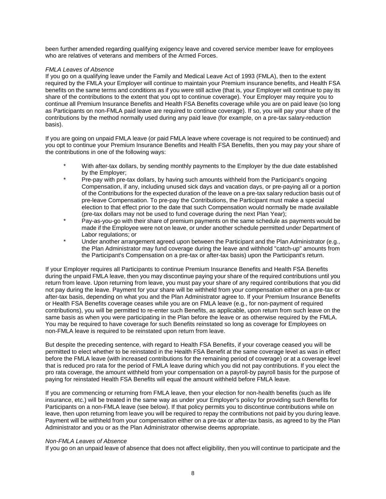been further amended regarding qualifying exigency leave and covered service member leave for employees who are relatives of veterans and members of the Armed Forces.

#### *FMLA Leaves of Absence*

If you go on a qualifying leave under the Family and Medical Leave Act of 1993 (FMLA), then to the extent required by the FMLA your Employer will continue to maintain your Premium insurance benefits, and Health FSA benefits on the same terms and conditions as if you were still active (that is, your Employer will continue to pay its share of the contributions to the extent that you opt to continue coverage). Your Employer may require you to continue all Premium Insurance Benefits and Health FSA Benefits coverage while you are on paid leave (so long as Participants on non-FMLA paid leave are required to continue coverage). If so, you will pay your share of the contributions by the method normally used during any paid leave (for example, on a pre-tax salary-reduction basis).

If you are going on unpaid FMLA leave (or paid FMLA leave where coverage is not required to be continued) and you opt to continue your Premium Insurance Benefits and Health FSA Benefits, then you may pay your share of the contributions in one of the following ways:

- With after-tax dollars, by sending monthly payments to the Employer by the due date established by the Employer;
- Pre-pay with pre-tax dollars, by having such amounts withheld from the Participant's ongoing Compensation, if any, including unused sick days and vacation days, or pre-paying all or a portion of the Contributions for the expected duration of the leave on a pre-tax salary reduction basis out of pre-leave Compensation. To pre-pay the Contributions, the Participant must make a special election to that effect prior to the date that such Compensation would normally be made available (pre-tax dollars may not be used to fund coverage during the next Plan Year);
- Pay-as-you-go with their share of premium payments on the same schedule as payments would be made if the Employee were not on leave, or under another schedule permitted under Department of Labor regulations; or
- Under another arrangement agreed upon between the Participant and the Plan Administrator (e.g., the Plan Administrator may fund coverage during the leave and withhold "catch-up" amounts from the Participant's Compensation on a pre-tax or after-tax basis) upon the Participant's return.

If your Employer requires all Participants to continue Premium Insurance Benefits and Health FSA Benefits during the unpaid FMLA leave, then you may discontinue paying your share of the required contributions until you return from leave. Upon returning from leave, you must pay your share of any required contributions that you did not pay during the leave. Payment for your share will be withheld from your compensation either on a pre-tax or after-tax basis, depending on what you and the Plan Administrator agree to. If your Premium Insurance Benefits or Health FSA Benefits coverage ceases while you are on FMLA leave (e.g., for non-payment of required contributions), you will be permitted to re-enter such Benefits, as applicable, upon return from such leave on the same basis as when you were participating in the Plan before the leave or as otherwise required by the FMLA. You may be required to have coverage for such Benefits reinstated so long as coverage for Employees on non-FMLA leave is required to be reinstated upon return from leave.

But despite the preceding sentence, with regard to Health FSA Benefits, if your coverage ceased you will be permitted to elect whether to be reinstated in the Health FSA Benefit at the same coverage level as was in effect before the FMLA leave (with increased contributions for the remaining period of coverage) or at a coverage level that is reduced pro rata for the period of FMLA leave during which you did not pay contributions. If you elect the pro rata coverage, the amount withheld from your compensation on a payroll-by payroll basis for the purpose of paying for reinstated Health FSA Benefits will equal the amount withheld before FMLA leave.

If you are commencing or returning from FMLA leave, then your election for non-health benefits (such as life insurance, etc.) will be treated in the same way as under your Employer's policy for providing such Benefits for Participants on a non-FMLA leave (see below). If that policy permits you to discontinue contributions while on leave, then upon returning from leave you will be required to repay the contributions not paid by you during leave. Payment will be withheld from your compensation either on a pre-tax or after-tax basis, as agreed to by the Plan Administrator and you or as the Plan Administrator otherwise deems appropriate.

#### *Non-FMLA Leaves of Absence*

If you go on an unpaid leave of absence that does not affect eligibility, then you will continue to participate and the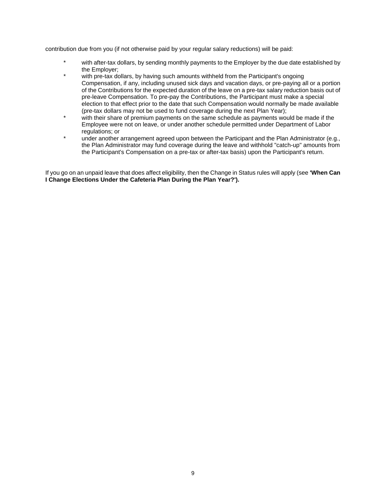contribution due from you (if not otherwise paid by your regular salary reductions) will be paid:

- with after-tax dollars, by sending monthly payments to the Employer by the due date established by the Employer;
- with pre-tax dollars, by having such amounts withheld from the Participant's ongoing Compensation, if any, including unused sick days and vacation days, or pre-paying all or a portion of the Contributions for the expected duration of the leave on a pre-tax salary reduction basis out of pre-leave Compensation. To pre-pay the Contributions, the Participant must make a special election to that effect prior to the date that such Compensation would normally be made available (pre-tax dollars may not be used to fund coverage during the next Plan Year);
- with their share of premium payments on the same schedule as payments would be made if the Employee were not on leave, or under another schedule permitted under Department of Labor regulations; or
- under another arrangement agreed upon between the Participant and the Plan Administrator (e.g., the Plan Administrator may fund coverage during the leave and withhold "catch-up" amounts from the Participant's Compensation on a pre-tax or after-tax basis) upon the Participant's return.

If you go on an unpaid leave that does affect eligibility, then the Change in Status rules will apply (see **'When Can I Change Elections Under the Cafeteria Plan During the Plan Year?').**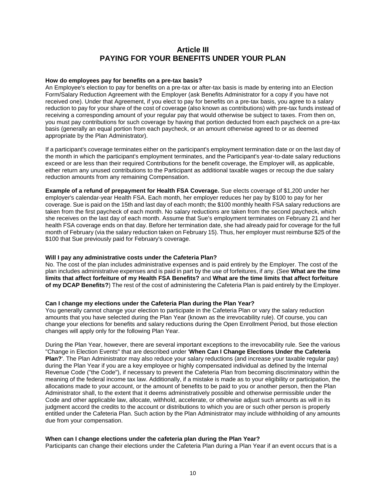## **Article III PAYING FOR YOUR BENEFITS UNDER YOUR PLAN**

#### **How do employees pay for benefits on a pre-tax basis?**

An Employee's election to pay for benefits on a pre-tax or after-tax basis is made by entering into an Election Form/Salary Reduction Agreement with the Employer (ask Benefits Administrator for a copy if you have not received one). Under that Agreement, if you elect to pay for benefits on a pre-tax basis, you agree to a salary reduction to pay for your share of the cost of coverage (also known as contributions) with pre-tax funds instead of receiving a corresponding amount of your regular pay that would otherwise be subject to taxes. From then on, you must pay contributions for such coverage by having that portion deducted from each paycheck on a pre-tax basis (generally an equal portion from each paycheck, or an amount otherwise agreed to or as deemed appropriate by the Plan Administrator).

If a participant's coverage terminates either on the participant's employment termination date or on the last day of the month in which the participant's employment terminates, and the Participant's year-to-date salary reductions exceed or are less than their required Contributions for the benefit coverage, the Employer will, as applicable, either return any unused contributions to the Participant as additional taxable wages or recoup the due salary reduction amounts from any remaining Compensation.

**Example of a refund of prepayment for Health FSA Coverage.** Sue elects coverage of \$1,200 under her employer's calendar-year Health FSA. Each month, her employer reduces her pay by \$100 to pay for her coverage. Sue is paid on the 15th and last day of each month; the \$100 monthly health FSA salary reductions are taken from the first paycheck of each month. No salary reductions are taken from the second paycheck, which she receives on the last day of each month. Assume that Sue's employment terminates on February 21 and her health FSA coverage ends on that day. Before her termination date, she had already paid for coverage for the full month of February (via the salary reduction taken on February 15). Thus, her employer must reimburse \$25 of the \$100 that Sue previously paid for February's coverage.

#### **Will I pay any administrative costs under the Cafeteria Plan?**

No. The cost of the plan includes administrative expenses and is paid entirely by the Employer. The cost of the plan includes administrative expenses and is paid in part by the use of forfeitures, if any. (See **What are the time limits that affect forfeiture of my Health FSA Benefits?** and **What are the time limits that affect forfeiture of my DCAP Benefits?**) The rest of the cost of administering the Cafeteria Plan is paid entirely by the Employer.

#### **Can I change my elections under the Cafeteria Plan during the Plan Year?**

You generally cannot change your election to participate in the Cafeteria Plan or vary the salary reduction amounts that you have selected during the Plan Year (known as the irrevocability rule). Of course, you can change your elections for benefits and salary reductions during the Open Enrollment Period, but those election changes will apply only for the following Plan Year.

During the Plan Year, however, there are several important exceptions to the irrevocability rule. See the various "Change in Election Events" that are described under '**When Can I Change Elections Under the Cafeteria Plan?**'. The Plan Administrator may also reduce your salary reductions (and increase your taxable regular pay) during the Plan Year if you are a key employee or highly compensated individual as defined by the Internal Revenue Code ("the Code"), if necessary to prevent the Cafeteria Plan from becoming discriminatory within the meaning of the federal income tax law. Additionally, if a mistake is made as to your eligibility or participation, the allocations made to your account, or the amount of benefits to be paid to you or another person, then the Plan Administrator shall, to the extent that it deems administratively possible and otherwise permissible under the Code and other applicable law, allocate, withhold, accelerate, or otherwise adjust such amounts as will in its judgment accord the credits to the account or distributions to which you are or such other person is properly entitled under the Cafeteria Plan. Such action by the Plan Administrator may include withholding of any amounts due from your compensation.

#### **When can I change elections under the cafeteria plan during the Plan Year?**

Participants can change their elections under the Cafeteria Plan during a Plan Year if an event occurs that is a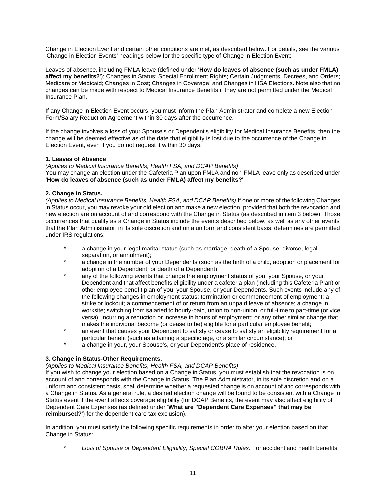Change in Election Event and certain other conditions are met, as described below. For details, see the various 'Change in Election Events' headings below for the specific type of Change in Election Event:

Leaves of absence, including FMLA leave (defined under '**How do leaves of absence (such as under FMLA) affect my benefits?**'); Changes in Status; Special Enrollment Rights; Certain Judgments, Decrees, and Orders; Medicare or Medicaid; Changes in Cost; Changes in Coverage; and Changes in HSA Elections. Note also that no changes can be made with respect to Medical Insurance Benefits if they are not permitted under the Medical Insurance Plan.

If any Change in Election Event occurs, you must inform the Plan Administrator and complete a new Election Form/Salary Reduction Agreement within 30 days after the occurrence.

If the change involves a loss of your Spouse's or Dependent's eligibility for Medical Insurance Benefits, then the change will be deemed effective as of the date that eligibility is lost due to the occurrence of the Change in Election Event, even if you do not request it within 30 days.

#### **1. Leaves of Absence**

*(Applies to Medical Insurance Benefits, Health FSA, and DCAP Benefits)*  You may change an election under the Cafeteria Plan upon FMLA and non-FMLA leave only as described under **'How do leaves of absence (such as under FMLA) affect my benefits?'**

#### **2. Change in Status.**

*(Applies to Medical Insurance Benefits, Health FSA, and DCAP Benefits)* If one or more of the following Changes in Status occur, you may revoke your old election and make a new election, provided that both the revocation and new election are on account of and correspond with the Change in Status (as described in item 3 below). Those occurrences that qualify as a Change in Status include the events described below, as well as any other events that the Plan Administrator, in its sole discretion and on a uniform and consistent basis, determines are permitted under IRS regulations:

- a change in your legal marital status (such as marriage, death of a Spouse, divorce, legal separation, or annulment);
- a change in the number of your Dependents (such as the birth of a child, adoption or placement for adoption of a Dependent, or death of a Dependent);
- any of the following events that change the employment status of you, your Spouse, or your Dependent and that affect benefits eligibility under a cafeteria plan (including this Cafeteria Plan) or other employee benefit plan of you, your Spouse, or your Dependents. Such events include any of the following changes in employment status: termination or commencement of employment; a strike or lockout; a commencement of or return from an unpaid leave of absence; a change in worksite; switching from salaried to hourly-paid, union to non-union, or full-time to part-time (or vice versa); incurring a reduction or increase in hours of employment; or any other similar change that makes the individual become (or cease to be) eligible for a particular employee benefit;
- an event that causes your Dependent to satisfy or cease to satisfy an eligibility requirement for a particular benefit (such as attaining a specific age, or a similar circumstance); or
- a change in your, your Spouse's, or your Dependent's place of residence.

#### **3. Change in Status-Other Requirements.**

*(Applies to Medical Insurance Benefits, Health FSA, and DCAP Benefits)* 

If you wish to change your election based on a Change in Status, you must establish that the revocation is on account of and corresponds with the Change in Status. The Plan Administrator, in its sole discretion and on a uniform and consistent basis, shall determine whether a requested change is on account of and corresponds with a Change in Status. As a general rule, a desired election change will be found to be consistent with a Change in Status event if the event affects coverage eligibility (for DCAP Benefits, the event may also affect eligibility of Dependent Care Expenses (as defined under '**What are "Dependent Care Expenses" that may be reimbursed?**') for the dependent care tax exclusion).

In addition, you must satisfy the following specific requirements in order to alter your election based on that Change in Status:

Loss of Spouse or Dependent Eligibility; Special COBRA Rules. For accident and health benefits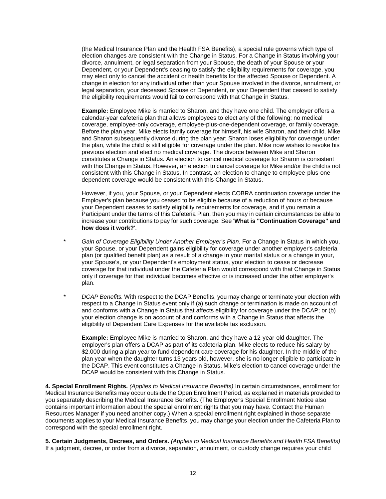(the Medical Insurance Plan and the Health FSA Benefits), a special rule governs which type of election changes are consistent with the Change in Status. For a Change in Status involving your divorce, annulment, or legal separation from your Spouse, the death of your Spouse or your Dependent, or your Dependent's ceasing to satisfy the eligibility requirements for coverage, you may elect only to cancel the accident or health benefits for the affected Spouse or Dependent. A change in election for any individual other than your Spouse involved in the divorce, annulment, or legal separation, your deceased Spouse or Dependent, or your Dependent that ceased to satisfy the eligibility requirements would fail to correspond with that Change in Status.

**Example:** Employee Mike is married to Sharon, and they have one child. The employer offers a calendar-year cafeteria plan that allows employees to elect any of the following: no medical coverage, employee-only coverage, employee-plus-one-dependent coverage, or family coverage. Before the plan year, Mike elects family coverage for himself, his wife Sharon, and their child. Mike and Sharon subsequently divorce during the plan year; Sharon loses eligibility for coverage under the plan, while the child is still eligible for coverage under the plan. Mike now wishes to revoke his previous election and elect no medical coverage. The divorce between Mike and Sharon constitutes a Change in Status. An election to cancel medical coverage for Sharon is consistent with this Change in Status. However, an election to cancel coverage for Mike and/or the child is not consistent with this Change in Status. In contrast, an election to change to employee-plus-one dependent coverage would be consistent with this Change in Status.

However, if you, your Spouse, or your Dependent elects COBRA continuation coverage under the Employer's plan because you ceased to be eligible because of a reduction of hours or because your Dependent ceases to satisfy eligibility requirements for coverage, and if you remain a Participant under the terms of this Cafeteria Plan, then you may in certain circumstances be able to increase your contributions to pay for such coverage. See '**What is "Continuation Coverage" and how does it work?**'.

- Gain of Coverage Eligibility Under Another Employer's Plan. For a Change in Status in which you, your Spouse, or your Dependent gains eligibility for coverage under another employer's cafeteria plan (or qualified benefit plan) as a result of a change in your marital status or a change in your, your Spouse's, or your Dependent's employment status, your election to cease or decrease coverage for that individual under the Cafeteria Plan would correspond with that Change in Status only if coverage for that individual becomes effective or is increased under the other employer's plan.
- \* *DCAP Benefits.* With respect to the DCAP Benefits, you may change or terminate your election with respect to a Change in Status event only if (a) such change or termination is made on account of and conforms with a Change in Status that affects eligibility for coverage under the DCAP; or (b) your election change is on account of and conforms with a Change in Status that affects the eligibility of Dependent Care Expenses for the available tax exclusion.

**Example:** Employee Mike is married to Sharon, and they have a 12-year-old daughter. The employer's plan offers a DCAP as part of its cafeteria plan. Mike elects to reduce his salary by \$2,000 during a plan year to fund dependent care coverage for his daughter. In the middle of the plan year when the daughter turns 13 years old, however, she is no longer eligible to participate in the DCAP. This event constitutes a Change in Status. Mike's election to cancel coverage under the DCAP would be consistent with this Change in Status.

**4. Special Enrollment Rights.** *(Applies to Medical Insurance Benefits)* In certain circumstances, enrollment for Medical Insurance Benefits may occur outside the Open Enrollment Period, as explained in materials provided to you separately describing the Medical Insurance Benefits. (The Employer's Special Enrollment Notice also contains important information about the special enrollment rights that you may have. Contact the Human Resources Manager if you need another copy.) When a special enrollment right explained in those separate documents applies to your Medical Insurance Benefits, you may change your election under the Cafeteria Plan to correspond with the special enrollment right.

**5. Certain Judgments, Decrees, and Orders.** *(Applies to Medical Insurance Benefits and Health FSA Benefits)*  If a judgment, decree, or order from a divorce, separation, annulment, or custody change requires your child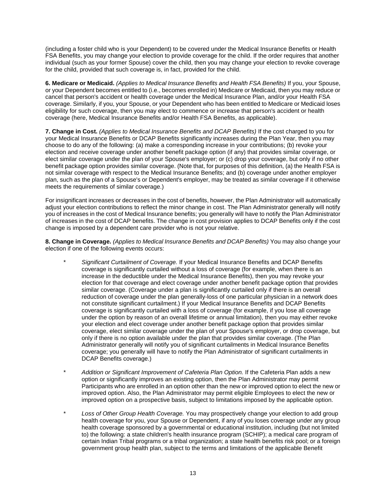(including a foster child who is your Dependent) to be covered under the Medical Insurance Benefits or Health FSA Benefits, you may change your election to provide coverage for the child. If the order requires that another individual (such as your former Spouse) cover the child, then you may change your election to revoke coverage for the child, provided that such coverage is, in fact, provided for the child.

**6. Medicare or Medicaid.** *(Applies to Medical Insurance Benefits and Health FSA Benefits)* If you, your Spouse, or your Dependent becomes entitled to (i.e., becomes enrolled in) Medicare or Medicaid, then you may reduce or cancel that person's accident or health coverage under the Medical Insurance Plan, and/or your Health FSA coverage. Similarly, if you, your Spouse, or your Dependent who has been entitled to Medicare or Medicaid loses eligibility for such coverage, then you may elect to commence or increase that person's accident or health coverage (here, Medical Insurance Benefits and/or Health FSA Benefits, as applicable).

**7. Change in Cost.** *(Applies to Medical Insurance Benefits and DCAP Benefits)* If the cost charged to you for your Medical Insurance Benefits or DCAP Benefits significantly increases during the Plan Year, then you may choose to do any of the following: (a) make a corresponding increase in your contributions; (b) revoke your election and receive coverage under another benefit package option (if any) that provides similar coverage, or elect similar coverage under the plan of your Spouse's employer; or (c) drop your coverage, but only if no other benefit package option provides similar coverage. (Note that, for purposes of this definition, (a) the Health FSA is not similar coverage with respect to the Medical Insurance Benefits; and (b) coverage under another employer plan, such as the plan of a Spouse's or Dependent's employer, may be treated as similar coverage if it otherwise meets the requirements of similar coverage.)

For insignificant increases or decreases in the cost of benefits, however, the Plan Administrator will automatically adjust your election contributions to reflect the minor change in cost. The Plan Administrator generally will notify you of increases in the cost of Medical Insurance benefits; you generally will have to notify the Plan Administrator of increases in the cost of DCAP benefits. The change in cost provision applies to DCAP Benefits only if the cost change is imposed by a dependent care provider who is not your relative.

**8. Change in Coverage.** *(Applies to Medical Insurance Benefits and DCAP Benefits)* You may also change your election if one of the following events occurs:

- \* *Significant Curtailment of Coverage.* If your Medical Insurance Benefits and DCAP Benefits coverage is significantly curtailed without a loss of coverage (for example, when there is an increase in the deductible under the Medical Insurance Benefits), then you may revoke your election for that coverage and elect coverage under another benefit package option that provides similar coverage. (Coverage under a plan is significantly curtailed only if there is an overall reduction of coverage under the plan generally-loss of one particular physician in a network does not constitute significant curtailment.) If your Medical Insurance Benefits and DCAP Benefits coverage is significantly curtailed with a loss of coverage (for example, if you lose all coverage under the option by reason of an overall lifetime or annual limitation), then you may either revoke your election and elect coverage under another benefit package option that provides similar coverage, elect similar coverage under the plan of your Spouse's employer, or drop coverage, but only if there is no option available under the plan that provides similar coverage. (The Plan Administrator generally will notify you of significant curtailments in Medical Insurance Benefits coverage; you generally will have to notify the Plan Administrator of significant curtailments in DCAP Benefits coverage.)
- \* *Addition or Significant Improvement of Cafeteria Plan Option.* If the Cafeteria Plan adds a new option or significantly improves an existing option, then the Plan Administrator may permit Participants who are enrolled in an option other than the new or improved option to elect the new or improved option. Also, the Plan Administrator may permit eligible Employees to elect the new or improved option on a prospective basis, subject to limitations imposed by the applicable option.
- \* *Loss of Other Group Health Coverage.* You may prospectively change your election to add group health coverage for you, your Spouse or Dependent, if any of you loses coverage under any group health coverage sponsored by a governmental or educational institution, including (but not limited to) the following: a state children's health insurance program (SCHIP); a medical care program of certain Indian Tribal programs or a tribal organization; a state health benefits risk pool; or a foreign government group health plan, subject to the terms and limitations of the applicable Benefit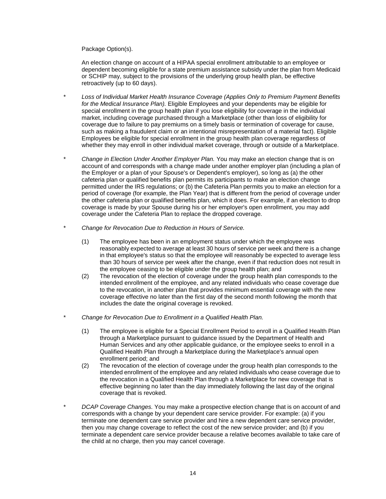Package Option(s).

An election change on account of a HIPAA special enrollment attributable to an employee or dependent becoming eligible for a state premium assistance subsidy under the plan from Medicaid or SCHIP may, subject to the provisions of the underlying group health plan, be effective retroactively (up to 60 days).

- \* *Loss of Individual Market Health Insurance Coverage (Applies Only to Premium Payment Benefits for the Medical Insurance Plan).* Eligible Employees and your dependents may be eligible for special enrollment in the group health plan if you lose eligibility for coverage in the individual market, including coverage purchased through a Marketplace (other than loss of eligibility for coverage due to failure to pay premiums on a timely basis or termination of coverage for cause, such as making a fraudulent claim or an intentional misrepresentation of a material fact). Eligible Employees be eligible for special enrollment in the group health plan coverage regardless of whether they may enroll in other individual market coverage, through or outside of a Marketplace.
- \* *Change in Election Under Another Employer Plan.* You may make an election change that is on account of and corresponds with a change made under another employer plan (including a plan of the Employer or a plan of your Spouse's or Dependent's employer), so long as (a) the other cafeteria plan or qualified benefits plan permits its participants to make an election change permitted under the IRS regulations; or (b) the Cafeteria Plan permits you to make an election for a period of coverage (for example, the Plan Year) that is different from the period of coverage under the other cafeteria plan or qualified benefits plan, which it does. For example, if an election to drop coverage is made by your Spouse during his or her employer's open enrollment, you may add coverage under the Cafeteria Plan to replace the dropped coverage.
- \* *Change for Revocation Due to Reduction in Hours of Service.*
	- (1) The employee has been in an employment status under which the employee was reasonably expected to average at least 30 hours of service per week and there is a change in that employee's status so that the employee will reasonably be expected to average less than 30 hours of service per week after the change, even if that reduction does not result in the employee ceasing to be eligible under the group health plan; and
	- (2) The revocation of the election of coverage under the group health plan corresponds to the intended enrollment of the employee, and any related individuals who cease coverage due to the revocation, in another plan that provides minimum essential coverage with the new coverage effective no later than the first day of the second month following the month that includes the date the original coverage is revoked.
- \* *Change for Revocation Due to Enrollment in a Qualified Health Plan.*
	- (1) The employee is eligible for a Special Enrollment Period to enroll in a Qualified Health Plan through a Marketplace pursuant to guidance issued by the Department of Health and Human Services and any other applicable guidance, or the employee seeks to enroll in a Qualified Health Plan through a Marketplace during the Marketplace's annual open enrollment period; and
	- (2) The revocation of the election of coverage under the group health plan corresponds to the intended enrollment of the employee and any related individuals who cease coverage due to the revocation in a Qualified Health Plan through a Marketplace for new coverage that is effective beginning no later than the day immediately following the last day of the original coverage that is revoked.
- \* *DCAP Coverage Changes.* You may make a prospective election change that is on account of and corresponds with a change by your dependent care service provider. For example: (a) if you terminate one dependent care service provider and hire a new dependent care service provider, then you may change coverage to reflect the cost of the new service provider; and (b) if you terminate a dependent care service provider because a relative becomes available to take care of the child at no charge, then you may cancel coverage.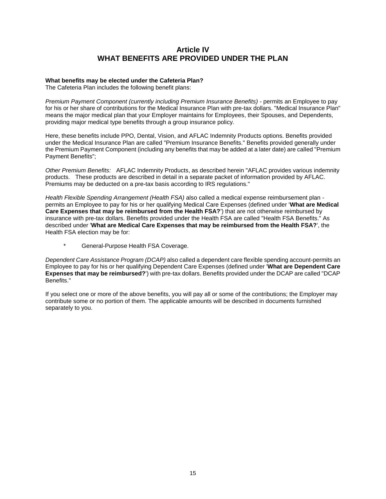## **Article IV WHAT BENEFITS ARE PROVIDED UNDER THE PLAN**

#### **What benefits may be elected under the Cafeteria Plan?**

The Cafeteria Plan includes the following benefit plans:

*Premium Payment Component (currently including Premium Insurance Benefits)* - permits an Employee to pay for his or her share of contributions for the Medical Insurance Plan with pre-tax dollars. "Medical Insurance Plan" means the major medical plan that your Employer maintains for Employees, their Spouses, and Dependents, providing major medical type benefits through a group insurance policy.

Here, these benefits include PPO, Dental, Vision, and AFLAC Indemnity Products options. Benefits provided under the Medical Insurance Plan are called "Premium Insurance Benefits." Benefits provided generally under the Premium Payment Component (including any benefits that may be added at a later date) are called "Premium Payment Benefits";

*Other Premium Benefits:* AFLAC Indemnity Products, as described herein "AFLAC provides various indemnity products. These products are described in detail in a separate packet of information provided by AFLAC. Premiums may be deducted on a pre-tax basis according to IRS regulations."

*Health Flexible Spending Arrangement (Health FSA)* also called a medical expense reimbursement plan permits an Employee to pay for his or her qualifying Medical Care Expenses (defined under '**What are Medical Care Expenses that may be reimbursed from the Health FSA?**') that are not otherwise reimbursed by insurance with pre-tax dollars. Benefits provided under the Health FSA are called "Health FSA Benefits." As described under '**What are Medical Care Expenses that may be reimbursed from the Health FSA?**', the Health FSA election may be for:

General-Purpose Health FSA Coverage.

*Dependent Care Assistance Program (DCAP)* also called a dependent care flexible spending account-permits an Employee to pay for his or her qualifying Dependent Care Expenses (defined under '**What are Dependent Care Expenses that may be reimbursed?**') with pre-tax dollars. Benefits provided under the DCAP are called "DCAP Benefits."

If you select one or more of the above benefits, you will pay all or some of the contributions; the Employer may contribute some or no portion of them. The applicable amounts will be described in documents furnished separately to you.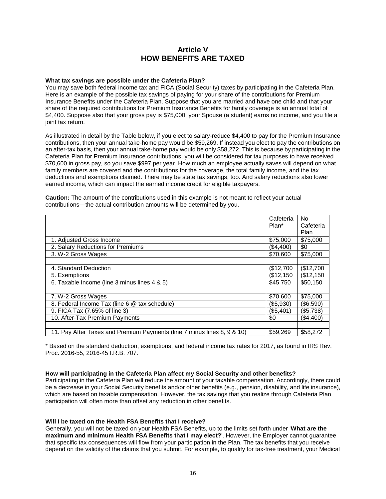## **Article V HOW BENEFITS ARE TAXED**

#### **What tax savings are possible under the Cafeteria Plan?**

You may save both federal income tax and FICA (Social Security) taxes by participating in the Cafeteria Plan. Here is an example of the possible tax savings of paying for your share of the contributions for Premium Insurance Benefits under the Cafeteria Plan. Suppose that you are married and have one child and that your share of the required contributions for Premium Insurance Benefits for family coverage is an annual total of \$4,400. Suppose also that your gross pay is \$75,000, your Spouse (a student) earns no income, and you file a joint tax return.

As illustrated in detail by the Table below, if you elect to salary-reduce \$4,400 to pay for the Premium Insurance contributions, then your annual take-home pay would be \$59,269. If instead you elect to pay the contributions on an after-tax basis, then your annual take-home pay would be only \$58,272. This is because by participating in the Cafeteria Plan for Premium Insurance contributions, you will be considered for tax purposes to have received \$70,600 in gross pay, so you save \$997 per year. How much an employee actually saves will depend on what family members are covered and the contributions for the coverage, the total family income, and the tax deductions and exemptions claimed. There may be state tax savings, too. And salary reductions also lower earned income, which can impact the earned income credit for eligible taxpayers.

**Caution:** The amount of the contributions used in this example is not meant to reflect your actual contributions—the actual contribution amounts will be determined by you.

|                                                                         | Cafeteria | <b>No</b> |
|-------------------------------------------------------------------------|-----------|-----------|
|                                                                         | Plan*     | Cafeteria |
|                                                                         |           | Plan      |
| 1. Adjusted Gross Income                                                | \$75,000  | \$75,000  |
| 2. Salary Reductions for Premiums                                       | (\$4,400) | \$0       |
| 3. W-2 Gross Wages                                                      | \$70,600  | \$75,000  |
|                                                                         |           |           |
| 4. Standard Deduction                                                   | \$12,700  | \$12,700  |
| 5. Exemptions                                                           | \$12,150  | (\$12,150 |
| 6. Taxable Income (line 3 minus lines 4 & 5)                            | \$45,750  | \$50,150  |
|                                                                         |           |           |
| 7. W-2 Gross Wages                                                      | \$70,600  | \$75,000  |
| 8. Federal Income Tax (line 6 @ tax schedule)                           | (\$5,930) | (\$6,590) |
| 9. FICA Tax (7.65% of line 3)                                           | (\$5,401) | (\$5,738) |
| 10. After-Tax Premium Payments                                          | \$0       | (\$4,400) |
|                                                                         |           |           |
| 11. Pay After Taxes and Premium Payments (line 7 minus lines 8, 9 & 10) | \$59,269  | \$58,272  |

\* Based on the standard deduction, exemptions, and federal income tax rates for 2017, as found in IRS Rev. Proc. 2016-55, 2016-45 I.R.B. 707.

#### **How will participating in the Cafeteria Plan affect my Social Security and other benefits?**

Participating in the Cafeteria Plan will reduce the amount of your taxable compensation. Accordingly, there could be a decrease in your Social Security benefits and/or other benefits (e.g., pension, disability, and life insurance), which are based on taxable compensation. However, the tax savings that you realize through Cafeteria Plan participation will often more than offset any reduction in other benefits.

#### **Will I be taxed on the Health FSA Benefits that I receive?**

Generally, you will not be taxed on your Health FSA Benefits, up to the limits set forth under '**What are the maximum and minimum Health FSA Benefits that I may elect?**'. However, the Employer cannot guarantee that specific tax consequences will flow from your participation in the Plan. The tax benefits that you receive depend on the validity of the claims that you submit. For example, to qualify for tax-free treatment, your Medical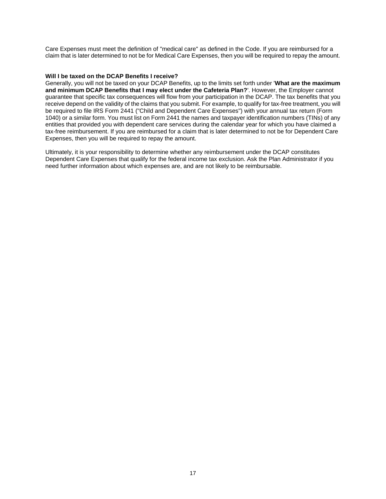Care Expenses must meet the definition of "medical care" as defined in the Code. If you are reimbursed for a claim that is later determined to not be for Medical Care Expenses, then you will be required to repay the amount.

#### **Will I be taxed on the DCAP Benefits I receive?**

Generally, you will not be taxed on your DCAP Benefits, up to the limits set forth under '**What are the maximum and minimum DCAP Benefits that I may elect under the Cafeteria Plan?**'. However, the Employer cannot guarantee that specific tax consequences will flow from your participation in the DCAP. The tax benefits that you receive depend on the validity of the claims that you submit. For example, to qualify for tax-free treatment, you will be required to file IRS Form 2441 ("Child and Dependent Care Expenses") with your annual tax return (Form 1040) or a similar form. You must list on Form 2441 the names and taxpayer identification numbers (TINs) of any entities that provided you with dependent care services during the calendar year for which you have claimed a tax-free reimbursement. If you are reimbursed for a claim that is later determined to not be for Dependent Care Expenses, then you will be required to repay the amount.

Ultimately, it is your responsibility to determine whether any reimbursement under the DCAP constitutes Dependent Care Expenses that qualify for the federal income tax exclusion. Ask the Plan Administrator if you need further information about which expenses are, and are not likely to be reimbursable.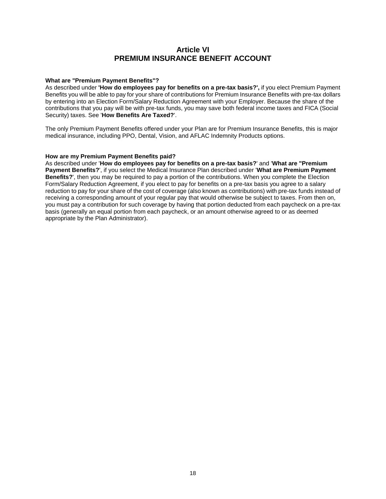## **Article VI PREMIUM INSURANCE BENEFIT ACCOUNT**

#### **What are "Premium Payment Benefits"?**

As described under **'How do employees pay for benefits on a pre-tax basis?',** if you elect Premium Payment Benefits you will be able to pay for your share of contributions for Premium Insurance Benefits with pre-tax dollars by entering into an Election Form/Salary Reduction Agreement with your Employer. Because the share of the contributions that you pay will be with pre-tax funds, you may save both federal income taxes and FICA (Social Security) taxes. See '**How Benefits Are Taxed?**'.

The only Premium Payment Benefits offered under your Plan are for Premium Insurance Benefits, this is major medical insurance, including PPO, Dental, Vision, and AFLAC Indemnity Products options.

#### **How are my Premium Payment Benefits paid?**

As described under '**How do employees pay for benefits on a pre-tax basis?**' and '**What are "Premium Payment Benefits?**', if you select the Medical Insurance Plan described under '**What are Premium Payment Benefits?**', then you may be required to pay a portion of the contributions. When you complete the Election Form/Salary Reduction Agreement, if you elect to pay for benefits on a pre-tax basis you agree to a salary reduction to pay for your share of the cost of coverage (also known as contributions) with pre-tax funds instead of receiving a corresponding amount of your regular pay that would otherwise be subject to taxes. From then on, you must pay a contribution for such coverage by having that portion deducted from each paycheck on a pre-tax basis (generally an equal portion from each paycheck, or an amount otherwise agreed to or as deemed appropriate by the Plan Administrator).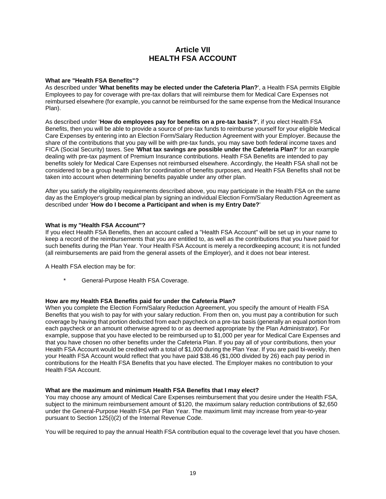## **Article VII HEALTH FSA ACCOUNT**

#### **What are "Health FSA Benefits"?**

As described under '**What benefits may be elected under the Cafeteria Plan?**', a Health FSA permits Eligible Employees to pay for coverage with pre-tax dollars that will reimburse them for Medical Care Expenses not reimbursed elsewhere (for example, you cannot be reimbursed for the same expense from the Medical Insurance Plan).

As described under '**How do employees pay for benefits on a pre-tax basis?**', if you elect Health FSA Benefits, then you will be able to provide a source of pre-tax funds to reimburse yourself for your eligible Medical Care Expenses by entering into an Election Form/Salary Reduction Agreement with your Employer. Because the share of the contributions that you pay will be with pre-tax funds, you may save both federal income taxes and FICA (Social Security) taxes. See '**What tax savings are possible under the Cafeteria Plan?**' for an example dealing with pre-tax payment of Premium Insurance contributions. Health FSA Benefits are intended to pay benefits solely for Medical Care Expenses not reimbursed elsewhere. Accordingly, the Health FSA shall not be considered to be a group health plan for coordination of benefits purposes, and Health FSA Benefits shall not be taken into account when determining benefits payable under any other plan.

After you satisfy the eligibility requirements described above, you may participate in the Health FSA on the same day as the Employer's group medical plan by signing an individual Election Form/Salary Reduction Agreement as described under '**How do I become a Participant and when is my Entry Date?**'

#### **What is my "Health FSA Account"?**

If you elect Health FSA Benefits, then an account called a "Health FSA Account" will be set up in your name to keep a record of the reimbursements that you are entitled to, as well as the contributions that you have paid for such benefits during the Plan Year. Your Health FSA Account is merely a recordkeeping account; it is not funded (all reimbursements are paid from the general assets of the Employer), and it does not bear interest.

A Health FSA election may be for:

General-Purpose Health FSA Coverage.

#### **How are my Health FSA Benefits paid for under the Cafeteria Plan?**

When you complete the Election Form/Salary Reduction Agreement, you specify the amount of Health FSA Benefits that you wish to pay for with your salary reduction. From then on, you must pay a contribution for such coverage by having that portion deducted from each paycheck on a pre-tax basis (generally an equal portion from each paycheck or an amount otherwise agreed to or as deemed appropriate by the Plan Administrator). For example, suppose that you have elected to be reimbursed up to \$1,000 per year for Medical Care Expenses and that you have chosen no other benefits under the Cafeteria Plan. If you pay all of your contributions, then your Health FSA Account would be credited with a total of \$1,000 during the Plan Year. If you are paid bi-weekly, then your Health FSA Account would reflect that you have paid \$38.46 (\$1,000 divided by 26) each pay period in contributions for the Health FSA Benefits that you have elected. The Employer makes no contribution to your Health FSA Account.

#### **What are the maximum and minimum Health FSA Benefits that I may elect?**

You may choose any amount of Medical Care Expenses reimbursement that you desire under the Health FSA, subject to the minimum reimbursement amount of \$120, the maximum salary reduction contributions of \$2,650 under the General-Purpose Health FSA per Plan Year. The maximum limit may increase from year-to-year pursuant to Section 125(i)(2) of the Internal Revenue Code.

You will be required to pay the annual Health FSA contribution equal to the coverage level that you have chosen.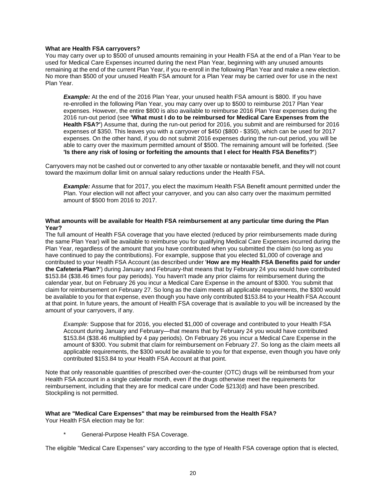#### **What are Health FSA carryovers?**

You may carry over up to \$500 of unused amounts remaining in your Health FSA at the end of a Plan Year to be used for Medical Care Expenses incurred during the next Plan Year, beginning with any unused amounts remaining at the end of the current Plan Year, if you re-enroll in the following Plan Year and make a new election. No more than \$500 of your unused Health FSA amount for a Plan Year may be carried over for use in the next Plan Year.

**Example:** At the end of the 2016 Plan Year, your unused health FSA amount is \$800. If you have re-enrolled in the following Plan Year, you may carry over up to \$500 to reimburse 2017 Plan Year expenses. However, the entire \$800 is also available to reimburse 2016 Plan Year expenses during the 2016 run-out period (see **'What must I do to be reimbursed for Medical Care Expenses from the Health FSA?'**) Assume that, during the run-out period for 2016, you submit and are reimbursed for 2016 expenses of \$350. This leaves you with a carryover of \$450 (\$800 - \$350), which can be used for 2017 expenses. On the other hand, if you do not submit 2016 expenses during the run-out period, you will be able to carry over the maximum permitted amount of \$500. The remaining amount will be forfeited. (See **'Is there any risk of losing or forfeiting the amounts that I elect for Health FSA Benefits?'**)

Carryovers may not be cashed out or converted to any other taxable or nontaxable benefit, and they will not count toward the maximum dollar limit on annual salary reductions under the Health FSA.

**Example:** Assume that for 2017, you elect the maximum Health FSA Benefit amount permitted under the Plan. Your election will not affect your carryover, and you can also carry over the maximum permitted amount of \$500 from 2016 to 2017.

#### **What amounts will be available for Health FSA reimbursement at any particular time during the Plan Year?**

The full amount of Health FSA coverage that you have elected (reduced by prior reimbursements made during the same Plan Year) will be available to reimburse you for qualifying Medical Care Expenses incurred during the Plan Year, regardless of the amount that you have contributed when you submitted the claim (so long as you have continued to pay the contributions). For example, suppose that you elected \$1,000 of coverage and contributed to your Health FSA Account (as described under '**How are my Health FSA Benefits paid for under the Cafeteria Plan?**') during January and February-that means that by February 24 you would have contributed \$153.84 (\$38.46 times four pay periods). You haven't made any prior claims for reimbursement during the calendar year, but on February 26 you incur a Medical Care Expense in the amount of \$300. You submit that claim for reimbursement on February 27. So long as the claim meets all applicable requirements, the \$300 would be available to you for that expense, even though you have only contributed \$153.84 to your Health FSA Account at that point. In future years, the amount of Health FSA coverage that is available to you will be increased by the amount of your carryovers, if any.

*Example:* Suppose that for 2016, you elected \$1,000 of coverage and contributed to your Health FSA Account during January and February—that means that by February 24 you would have contributed \$153.84 (\$38.46 multiplied by 4 pay periods). On February 26 you incur a Medical Care Expense in the amount of \$300. You submit that claim for reimbursement on February 27. So long as the claim meets all applicable requirements, the \$300 would be available to you for that expense, even though you have only contributed \$153.84 to your Health FSA Account at that point.

Note that only reasonable quantities of prescribed over-the-counter (OTC) drugs will be reimbursed from your Health FSA account in a single calendar month, even if the drugs otherwise meet the requirements for reimbursement, including that they are for medical care under Code §213(d) and have been prescribed. Stockpiling is not permitted.

#### **What are "Medical Care Expenses" that may be reimbursed from the Health FSA?**

Your Health FSA election may be for:

General-Purpose Health FSA Coverage.

The eligible "Medical Care Expenses" vary according to the type of Health FSA coverage option that is elected,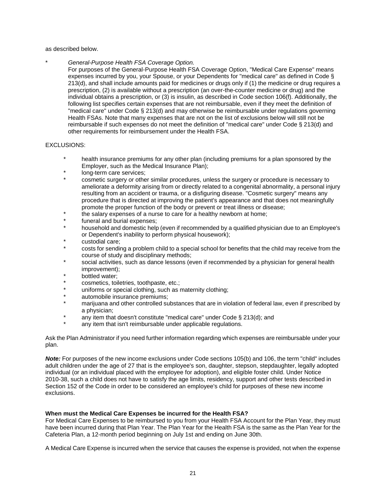as described below.

\* *General-Purpose Health FSA Coverage Option.*

For purposes of the General-Purpose Health FSA Coverage Option, "Medical Care Expense" means expenses incurred by you, your Spouse, or your Dependents for "medical care" as defined in Code § 213(d), and shall include amounts paid for medicines or drugs only if (1) the medicine or drug requires a prescription, (2) is available without a prescription (an over-the-counter medicine or drug) and the individual obtains a prescription, or (3) is insulin, as described in Code section 106(f). Additionally, the following list specifies certain expenses that are not reimbursable, even if they meet the definition of "medical care" under Code § 213(d) and may otherwise be reimbursable under regulations governing Health FSAs. Note that many expenses that are not on the list of exclusions below will still not be reimbursable if such expenses do not meet the definition of "medical care" under Code § 213(d) and other requirements for reimbursement under the Health FSA.

#### EXCLUSIONS:

- health insurance premiums for any other plan (including premiums for a plan sponsored by the Employer, such as the Medical Insurance Plan);
- long-term care services;
- cosmetic surgery or other similar procedures, unless the surgery or procedure is necessary to ameliorate a deformity arising from or directly related to a congenital abnormality, a personal injury resulting from an accident or trauma, or a disfiguring disease. "Cosmetic surgery" means any procedure that is directed at improving the patient's appearance and that does not meaningfully promote the proper function of the body or prevent or treat illness or disease;
- the salary expenses of a nurse to care for a healthy newborn at home;
- funeral and burial expenses;
- household and domestic help (even if recommended by a qualified physician due to an Employee's or Dependent's inability to perform physical housework);
- custodial care;
- costs for sending a problem child to a special school for benefits that the child may receive from the course of study and disciplinary methods;
- social activities, such as dance lessons (even if recommended by a physician for general health improvement);
- bottled water;
- cosmetics, toiletries, toothpaste, etc.;
- uniforms or special clothing, such as maternity clothing;
- automobile insurance premiums;
- marijuana and other controlled substances that are in violation of federal law, even if prescribed by a physician;
- any item that doesn't constitute "medical care" under Code § 213(d); and
- any item that isn't reimbursable under applicable regulations.

Ask the Plan Administrator if you need further information regarding which expenses are reimbursable under your plan.

*Note:* For purposes of the new income exclusions under Code sections 105(b) and 106, the term "child" includes adult children under the age of 27 that is the employee's son, daughter, stepson, stepdaughter, legally adopted individual (or an individual placed with the employee for adoption), and eligible foster child. Under Notice 2010-38, such a child does not have to satisfy the age limits, residency, support and other tests described in Section 152 of the Code in order to be considered an employee's child for purposes of these new income exclusions.

#### **When must the Medical Care Expenses be incurred for the Health FSA?**

For Medical Care Expenses to be reimbursed to you from your Health FSA Account for the Plan Year, they must have been incurred during that Plan Year. The Plan Year for the Health FSA is the same as the Plan Year for the Cafeteria Plan, a 12-month period beginning on July 1st and ending on June 30th.

A Medical Care Expense is incurred when the service that causes the expense is provided, not when the expense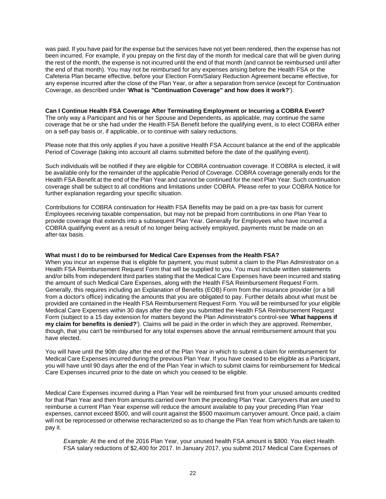was paid. If you have paid for the expense but the services have not yet been rendered, then the expense has not been incurred. For example, if you prepay on the first day of the month for medical care that will be given during the rest of the month, the expense is not incurred until the end of that month (and cannot be reimbursed until after the end of that month). You may not be reimbursed for any expenses arising before the Health FSA or the Cafeteria Plan became effective, before your Election Form/Salary Reduction Agreement became effective, for any expense incurred after the close of the Plan Year, or after a separation from service (except for Continuation Coverage, as described under '**What is "Continuation Coverage" and how does it work?**').

#### **Can I Continue Health FSA Coverage After Terminating Employment or Incurring a COBRA Event?**

The only way a Participant and his or her Spouse and Dependents, as applicable, may continue the same coverage that he or she had under the Health FSA Benefit before the qualifying event, is to elect COBRA either on a self-pay basis or, if applicable, or to continue with salary reductions.

Please note that this only applies if you have a positive Health FSA Account balance at the end of the applicable Period of Coverage (taking into account all claims submitted before the date of the qualifying event).

Such individuals will be notified if they are eligible for COBRA continuation coverage. If COBRA is elected, it will be available only for the remainder of the applicable Period of Coverage. COBRA coverage generally ends for the Health FSA Benefit at the end of the Plan Year and cannot be continued for the next Plan Year. Such continuation coverage shall be subject to all conditions and limitations under COBRA. Please refer to your COBRA Notice for further explanation regarding your specific situation.

Contributions for COBRA continuation for Health FSA Benefits may be paid on a pre-tax basis for current Employees receiving taxable compensation, but may not be prepaid from contributions in one Plan Year to provide coverage that extends into a subsequent Plan Year. Generally for Employees who have incurred a COBRA qualifying event as a result of no longer being actively employed, payments must be made on an after-tax basis.

#### **What must I do to be reimbursed for Medical Care Expenses from the Health FSA?**

When you incur an expense that is eligible for payment, you must submit a claim to the Plan Administrator on a Health FSA Reimbursement Request Form that will be supplied to you. You must include written statements and/or bills from independent third parties stating that the Medical Care Expenses have been incurred and stating the amount of such Medical Care Expenses, along with the Health FSA Reimbursement Request Form. Generally, this requires including an Explanation of Benefits (EOB) Form from the insurance provider (or a bill from a doctor's office) indicating the amounts that you are obligated to pay. Further details about what must be provided are contained in the Health FSA Reimbursement Request Form. You will be reimbursed for your eligible Medical Care Expenses within 30 days after the date you submitted the Health FSA Reimbursement Request Form (subject to a 15 day extension for matters beyond the Plan Administrator's control-see '**What happens if my claim for benefits is denied?**'). Claims will be paid in the order in which they are approved. Remember, though, that you can't be reimbursed for any total expenses above the annual reimbursement amount that you have elected.

You will have until the 90th day after the end of the Plan Year in which to submit a claim for reimbursement for Medical Care Expenses incurred during the previous Plan Year. If you have ceased to be eligible as a Participant, you will have until 90 days after the end of the Plan Year in which to submit claims for reimbursement for Medical Care Expenses incurred prior to the date on which you ceased to be eligible.

Medical Care Expenses incurred during a Plan Year will be reimbursed first from your unused amounts credited for that Plan Year and then from amounts carried over from the preceding Plan Year. Carryovers that are used to reimburse a current Plan Year expense will reduce the amount available to pay your preceding Plan Year expenses, cannot exceed \$500, and will count against the \$500 maximum carryover amount. Once paid, a claim will not be reprocessed or otherwise recharacterized so as to change the Plan Year from which funds are taken to pay it.

*Example:* At the end of the 2016 Plan Year, your unused health FSA amount is \$800. You elect Health FSA salary reductions of \$2,400 for 2017. In January 2017, you submit 2017 Medical Care Expenses of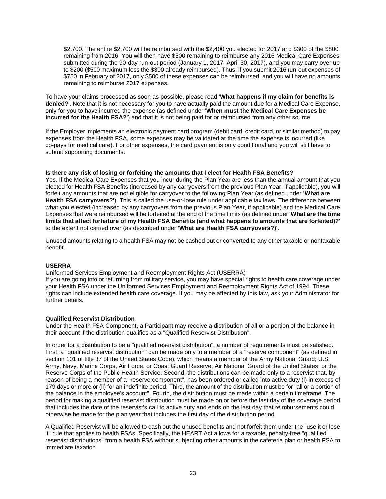\$2,700. The entire \$2,700 will be reimbursed with the \$2,400 you elected for 2017 and \$300 of the \$800 remaining from 2016. You will then have \$500 remaining to reimburse any 2016 Medical Care Expenses submitted during the 90-day run-out period (January 1, 2017–April 30, 2017), and you may carry over up to \$200 (\$500 maximum less the \$300 already reimbursed). Thus, if you submit 2016 run-out expenses of \$750 in February of 2017, only \$500 of these expenses can be reimbursed, and you will have no amounts remaining to reimburse 2017 expenses.

To have your claims processed as soon as possible, please read '**What happens if my claim for benefits is denied?**'. Note that it is not necessary for you to have actually paid the amount due for a Medical Care Expense, only for you to have incurred the expense (as defined under '**When must the Medical Care Expenses be incurred for the Health FSA?**') and that it is not being paid for or reimbursed from any other source.

If the Employer implements an electronic payment card program (debit card, credit card, or similar method) to pay expenses from the Health FSA, some expenses may be validated at the time the expense is incurred (like co-pays for medical care). For other expenses, the card payment is only conditional and you will still have to submit supporting documents.

#### **Is there any risk of losing or forfeiting the amounts that I elect for Health FSA Benefits?**

Yes. If the Medical Care Expenses that you incur during the Plan Year are less than the annual amount that you elected for Health FSA Benefits (increased by any carryovers from the previous Plan Year, if applicable), you will forfeit any amounts that are not eligible for carryover to the following Plan Year (as defined under **'What are Health FSA carryovers?'**). This is called the use-or-lose rule under applicable tax laws. The difference between what you elected (increased by any carryovers from the previous Plan Year, if applicable) and the Medical Care Expenses that were reimbursed will be forfeited at the end of the time limits (as defined under **'What are the time limits that affect forfeiture of my Health FSA Benefits (and what happens to amounts that are forfeited)?'** to the extent not carried over (as described under **'What are Health FSA carryovers?)'**.

Unused amounts relating to a health FSA may not be cashed out or converted to any other taxable or nontaxable benefit.

#### **USERRA**

Uniformed Services Employment and Reemployment Rights Act (USERRA)

If you are going into or returning from military service, you may have special rights to health care coverage under your Health FSA under the Uniformed Services Employment and Reemployment Rights Act of 1994. These rights can include extended health care coverage. If you may be affected by this law, ask your Administrator for further details.

#### **Qualified Reservist Distribution**

Under the Health FSA Component, a Participant may receive a distribution of all or a portion of the balance in their account if the distribution qualifies as a "Qualified Reservist Distribution".

In order for a distribution to be a "qualified reservist distribution", a number of requirements must be satisfied. First, a "qualified reservist distribution" can be made only to a member of a "reserve component" (as defined in section 101 of title 37 of the United States Code), which means a member of the Army National Guard; U.S. Army, Navy, Marine Corps, Air Force, or Coast Guard Reserve; Air National Guard of the United States; or the Reserve Corps of the Public Health Service. Second, the distributions can be made only to a reservist that, by reason of being a member of a "reserve component", has been ordered or called into active duty (i) in excess of 179 days or more or (ii) for an indefinite period. Third, the amount of the distribution must be for "all or a portion of the balance in the employee's account". Fourth, the distribution must be made within a certain timeframe. The period for making a qualified reservist distribution must be made on or before the last day of the coverage period that includes the date of the reservist's call to active duty and ends on the last day that reimbursements could otherwise be made for the plan year that includes the first day of the distribution period.

A Qualified Reservist will be allowed to cash out the unused benefits and not forfeit them under the "use it or lose it" rule that applies to health FSAs. Specifically, the HEART Act allows for a taxable, penalty-free "qualified reservist distributions" from a health FSA without subjecting other amounts in the cafeteria plan or health FSA to immediate taxation.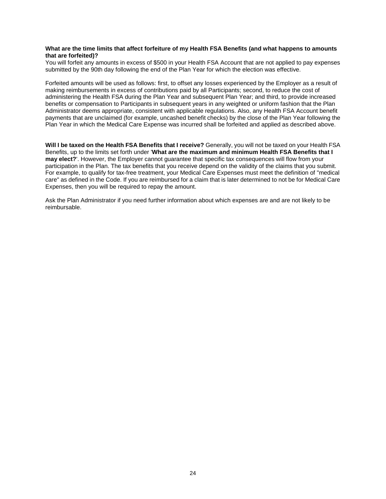#### **What are the time limits that affect forfeiture of my Health FSA Benefits (and what happens to amounts that are forfeited)?**

You will forfeit any amounts in excess of \$500 in your Health FSA Account that are not applied to pay expenses submitted by the 90th day following the end of the Plan Year for which the election was effective.

Forfeited amounts will be used as follows: first, to offset any losses experienced by the Employer as a result of making reimbursements in excess of contributions paid by all Participants; second, to reduce the cost of administering the Health FSA during the Plan Year and subsequent Plan Year; and third, to provide increased benefits or compensation to Participants in subsequent years in any weighted or uniform fashion that the Plan Administrator deems appropriate, consistent with applicable regulations. Also, any Health FSA Account benefit payments that are unclaimed (for example, uncashed benefit checks) by the close of the Plan Year following the Plan Year in which the Medical Care Expense was incurred shall be forfeited and applied as described above.

**Will I be taxed on the Health FSA Benefits that I receive?** Generally, you will not be taxed on your Health FSA Benefits, up to the limits set forth under '**What are the maximum and minimum Health FSA Benefits that I may elect?**'. However, the Employer cannot guarantee that specific tax consequences will flow from your participation in the Plan. The tax benefits that you receive depend on the validity of the claims that you submit. For example, to qualify for tax-free treatment, your Medical Care Expenses must meet the definition of "medical care" as defined in the Code. If you are reimbursed for a claim that is later determined to not be for Medical Care Expenses, then you will be required to repay the amount.

Ask the Plan Administrator if you need further information about which expenses are and are not likely to be reimbursable.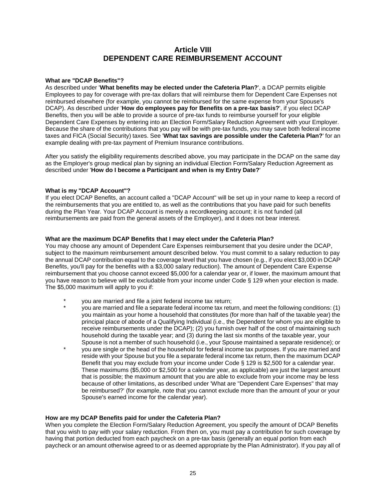## **Article VIII DEPENDENT CARE REIMBURSEMENT ACCOUNT**

#### **What are "DCAP Benefits"?**

As described under '**What benefits may be elected under the Cafeteria Plan?**', a DCAP permits eligible Employees to pay for coverage with pre-tax dollars that will reimburse them for Dependent Care Expenses not reimbursed elsewhere (for example, you cannot be reimbursed for the same expense from your Spouse's DCAP). As described under '**How do employees pay for Benefits on a pre-tax basis?**', if you elect DCAP Benefits, then you will be able to provide a source of pre-tax funds to reimburse yourself for your eligible Dependent Care Expenses by entering into an Election Form/Salary Reduction Agreement with your Employer. Because the share of the contributions that you pay will be with pre-tax funds, you may save both federal income taxes and FICA (Social Security) taxes. See '**What tax savings are possible under the Cafeteria Plan?**' for an example dealing with pre-tax payment of Premium Insurance contributions.

After you satisfy the eligibility requirements described above, you may participate in the DCAP on the same day as the Employer's group medical plan by signing an individual Election Form/Salary Reduction Agreement as described under '**How do I become a Participant and when is my Entry Date?**'

### **What is my "DCAP Account"?**

If you elect DCAP Benefits, an account called a "DCAP Account" will be set up in your name to keep a record of the reimbursements that you are entitled to, as well as the contributions that you have paid for such benefits during the Plan Year. Your DCAP Account is merely a recordkeeping account; it is not funded (all reimbursements are paid from the general assets of the Employer), and it does not bear interest.

#### **What are the maximum DCAP Benefits that I may elect under the Cafeteria Plan?**

You may choose any amount of Dependent Care Expenses reimbursement that you desire under the DCAP, subject to the maximum reimbursement amount described below. You must commit to a salary reduction to pay the annual DCAP contribution equal to the coverage level that you have chosen (e.g., if you elect \$3,000 in DCAP Benefits, you'll pay for the benefits with a \$3,000 salary reduction). The amount of Dependent Care Expense reimbursement that you choose cannot exceed \$5,000 for a calendar year or, if lower, the maximum amount that you have reason to believe will be excludable from your income under Code § 129 when your election is made. The \$5,000 maximum will apply to you if:

- you are married and file a joint federal income tax return;
- \* you are married and file a separate federal income tax return, and meet the following conditions: (1) you maintain as your home a household that constitutes (for more than half of the taxable year) the principal place of abode of a Qualifying Individual (i.e., the Dependent for whom you are eligible to receive reimbursements under the DCAP); (2) you furnish over half of the cost of maintaining such household during the taxable year; and (3) during the last six months of the taxable year, your
- Spouse is not a member of such household (i.e., your Spouse maintained a separate residence); or you are single or the head of the household for federal income tax purposes. If you are married and reside with your Spouse but you file a separate federal income tax return, then the maximum DCAP Benefit that you may exclude from your income under Code § 129 is \$2,500 for a calendar year. These maximums (\$5,000 or \$2,500 for a calendar year, as applicable) are just the largest amount that is possible; the maximum amount that you are able to exclude from your income may be less because of other limitations, as described under 'What are "Dependent Care Expenses" that may be reimbursed?' (for example, note that you cannot exclude more than the amount of your or your Spouse's earned income for the calendar year).

#### **How are my DCAP Benefits paid for under the Cafeteria Plan?**

When you complete the Election Form/Salary Reduction Agreement, you specify the amount of DCAP Benefits that you wish to pay with your salary reduction. From then on, you must pay a contribution for such coverage by having that portion deducted from each paycheck on a pre-tax basis (generally an equal portion from each paycheck or an amount otherwise agreed to or as deemed appropriate by the Plan Administrator). If you pay all of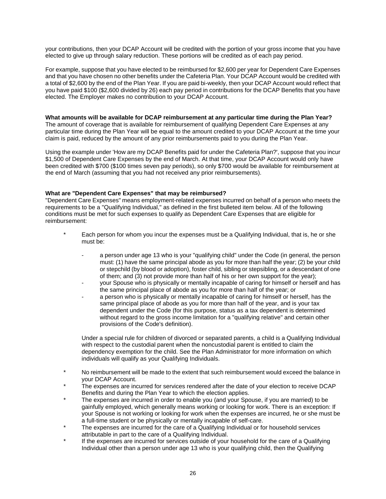your contributions, then your DCAP Account will be credited with the portion of your gross income that you have elected to give up through salary reduction. These portions will be credited as of each pay period.

For example, suppose that you have elected to be reimbursed for \$2,600 per year for Dependent Care Expenses and that you have chosen no other benefits under the Cafeteria Plan. Your DCAP Account would be credited with a total of \$2,600 by the end of the Plan Year. If you are paid bi-weekly, then your DCAP Account would reflect that you have paid \$100 (\$2,600 divided by 26) each pay period in contributions for the DCAP Benefits that you have elected. The Employer makes no contribution to your DCAP Account.

#### **What amounts will be available for DCAP reimbursement at any particular time during the Plan Year?**

The amount of coverage that is available for reimbursement of qualifying Dependent Care Expenses at any particular time during the Plan Year will be equal to the amount credited to your DCAP Account at the time your claim is paid, reduced by the amount of any prior reimbursements paid to you during the Plan Year.

Using the example under 'How are my DCAP Benefits paid for under the Cafeteria Plan?', suppose that you incur \$1,500 of Dependent Care Expenses by the end of March. At that time, your DCAP Account would only have been credited with \$700 (\$100 times seven pay periods), so only \$700 would be available for reimbursement at the end of March (assuming that you had not received any prior reimbursements).

#### **What are "Dependent Care Expenses" that may be reimbursed?**

"Dependent Care Expenses" means employment-related expenses incurred on behalf of a person who meets the requirements to be a "Qualifying Individual," as defined in the first bulleted item below. All of the following conditions must be met for such expenses to qualify as Dependent Care Expenses that are eligible for reimbursement:

- Each person for whom you incur the expenses must be a Qualifying Individual, that is, he or she must be:
	- a person under age 13 who is your "qualifying child" under the Code (in general, the person must: (1) have the same principal abode as you for more than half the year; (2) be your child or stepchild (by blood or adoption), foster child, sibling or stepsibling, or a descendant of one of them; and (3) not provide more than half of his or her own support for the year);
	- your Spouse who is physically or mentally incapable of caring for himself or herself and has the same principal place of abode as you for more than half of the year; or
	- a person who is physically or mentally incapable of caring for himself or herself, has the same principal place of abode as you for more than half of the year, and is your tax dependent under the Code (for this purpose, status as a tax dependent is determined without regard to the gross income limitation for a "qualifying relative" and certain other provisions of the Code's definition).

Under a special rule for children of divorced or separated parents, a child is a Qualifying Individual with respect to the custodial parent when the noncustodial parent is entitled to claim the dependency exemption for the child. See the Plan Administrator for more information on which individuals will qualify as your Qualifying Individuals.

- No reimbursement will be made to the extent that such reimbursement would exceed the balance in your DCAP Account.
- The expenses are incurred for services rendered after the date of your election to receive DCAP Benefits and during the Plan Year to which the election applies.
- The expenses are incurred in order to enable you (and your Spouse, if you are married) to be gainfully employed, which generally means working or looking for work. There is an exception: If your Spouse is not working or looking for work when the expenses are incurred, he or she must be a full-time student or be physically or mentally incapable of self-care.
- The expenses are incurred for the care of a Qualifying Individual or for household services attributable in part to the care of a Qualifying Individual.
- If the expenses are incurred for services outside of your household for the care of a Qualifying Individual other than a person under age 13 who is your qualifying child, then the Qualifying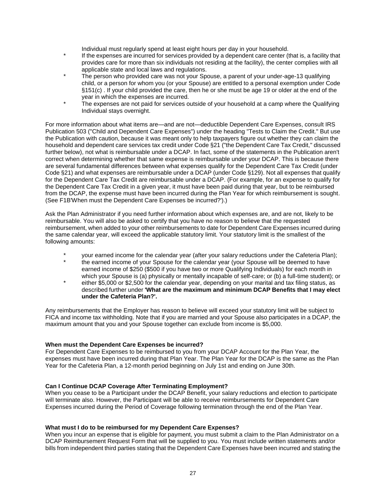Individual must regularly spend at least eight hours per day in your household.

- If the expenses are incurred for services provided by a dependent care center (that is, a facility that provides care for more than six individuals not residing at the facility), the center complies with all applicable state and local laws and regulations.
- The person who provided care was not your Spouse, a parent of your under-age-13 qualifying child, or a person for whom you (or your Spouse) are entitled to a personal exemption under Code §151(c) . If your child provided the care, then he or she must be age 19 or older at the end of the year in which the expenses are incurred.
- The expenses are not paid for services outside of your household at a camp where the Qualifying Individual stays overnight.

For more information about what items are—and are not—deductible Dependent Care Expenses, consult IRS Publication 503 ("Child and Dependent Care Expenses") under the heading "Tests to Claim the Credit." But use the Publication with caution, because it was meant only to help taxpayers figure out whether they can claim the household and dependent care services tax credit under Code §21 ("the Dependent Care Tax Credit," discussed further below), not what is reimbursable under a DCAP. In fact, some of the statements in the Publication aren't correct when determining whether that same expense is reimbursable under your DCAP. This is because there are several fundamental differences between what expenses qualify for the Dependent Care Tax Credit (under Code §21) and what expenses are reimbursable under a DCAP (under Code §129). Not all expenses that qualify for the Dependent Care Tax Credit are reimbursable under a DCAP. (For example, for an expense to qualify for the Dependent Care Tax Credit in a given year, it must have been paid during that year, but to be reimbursed from the DCAP, the expense must have been incurred during the Plan Year for which reimbursement is sought. (See F1B'When must the Dependent Care Expenses be incurred?').)

Ask the Plan Administrator if you need further information about which expenses are, and are not, likely to be reimbursable. You will also be asked to certify that you have no reason to believe that the requested reimbursement, when added to your other reimbursements to date for Dependent Care Expenses incurred during the same calendar year, will exceed the applicable statutory limit. Your statutory limit is the smallest of the following amounts:

- your earned income for the calendar year (after your salary reductions under the Cafeteria Plan);
- the earned income of your Spouse for the calendar year (your Spouse will be deemed to have earned income of \$250 (\$500 if you have two or more Qualifying Individuals) for each month in which your Spouse is (a) physically or mentally incapable of self-care; or (b) a full-time student); or
- either \$5,000 or \$2,500 for the calendar year, depending on your marital and tax filing status, as described further under **'What are the maximum and minimum DCAP Benefits that I may elect under the Cafeteria Plan?'.**

Any reimbursements that the Employer has reason to believe will exceed your statutory limit will be subject to FICA and income tax withholding. Note that if you are married and your Spouse also participates in a DCAP, the maximum amount that you and your Spouse together can exclude from income is \$5,000.

#### **When must the Dependent Care Expenses be incurred?**

For Dependent Care Expenses to be reimbursed to you from your DCAP Account for the Plan Year, the expenses must have been incurred during that Plan Year. The Plan Year for the DCAP is the same as the Plan Year for the Cafeteria Plan, a 12-month period beginning on July 1st and ending on June 30th.

#### **Can I Continue DCAP Coverage After Terminating Employment?**

When you cease to be a Participant under the DCAP Benefit, your salary reductions and election to participate will terminate also. However, the Participant will be able to receive reimbursements for Dependent Care Expenses incurred during the Period of Coverage following termination through the end of the Plan Year.

#### **What must I do to be reimbursed for my Dependent Care Expenses?**

When you incur an expense that is eligible for payment, you must submit a claim to the Plan Administrator on a DCAP Reimbursement Request Form that will be supplied to you. You must include written statements and/or bills from independent third parties stating that the Dependent Care Expenses have been incurred and stating the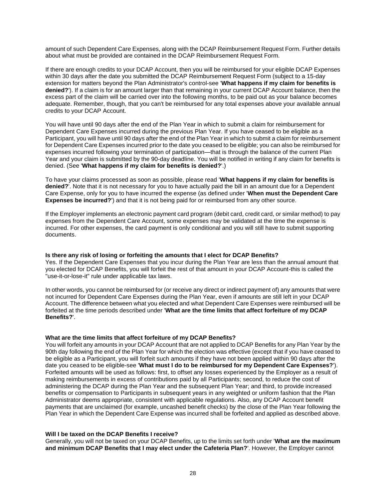amount of such Dependent Care Expenses, along with the DCAP Reimbursement Request Form. Further details about what must be provided are contained in the DCAP Reimbursement Request Form.

If there are enough credits to your DCAP Account, then you will be reimbursed for your eligible DCAP Expenses within 30 days after the date you submitted the DCAP Reimbursement Request Form (subject to a 15-day extension for matters beyond the Plan Administrator's control-see '**What happens if my claim for benefits is denied?**'). If a claim is for an amount larger than that remaining in your current DCAP Account balance, then the excess part of the claim will be carried over into the following months, to be paid out as your balance becomes adequate. Remember, though, that you can't be reimbursed for any total expenses above your available annual credits to your DCAP Account.

You will have until 90 days after the end of the Plan Year in which to submit a claim for reimbursement for Dependent Care Expenses incurred during the previous Plan Year. If you have ceased to be eligible as a Participant, you will have until 90 days after the end of the Plan Year in which to submit a claim for reimbursement for Dependent Care Expenses incurred prior to the date you ceased to be eligible; you can also be reimbursed for expenses incurred following your termination of participation—that is through the balance of the current Plan Year and your claim is submitted by the 90-day deadline. You will be notified in writing if any claim for benefits is denied. (See '**What happens if my claim for benefits is denied?**'.)

To have your claims processed as soon as possible, please read '**What happens if my claim for benefits is denied?**'. Note that it is not necessary for you to have actually paid the bill in an amount due for a Dependent Care Expense, only for you to have incurred the expense (as defined under '**When must the Dependent Care Expenses be incurred?**') and that it is not being paid for or reimbursed from any other source.

If the Employer implements an electronic payment card program (debit card, credit card, or similar method) to pay expenses from the Dependent Care Account, some expenses may be validated at the time the expense is incurred. For other expenses, the card payment is only conditional and you will still have to submit supporting documents.

#### **Is there any risk of losing or forfeiting the amounts that I elect for DCAP Benefits?**

Yes. If the Dependent Care Expenses that you incur during the Plan Year are less than the annual amount that you elected for DCAP Benefits, you will forfeit the rest of that amount in your DCAP Account-this is called the "use-it-or-lose-it" rule under applicable tax laws.

In other words, you cannot be reimbursed for (or receive any direct or indirect payment of) any amounts that were not incurred for Dependent Care Expenses during the Plan Year, even if amounts are still left in your DCAP Account. The difference between what you elected and what Dependent Care Expenses were reimbursed will be forfeited at the time periods described under '**What are the time limits that affect forfeiture of my DCAP Benefits?**'.

#### **What are the time limits that affect forfeiture of my DCAP Benefits?**

You will forfeit any amounts in your DCAP Account that are not applied to DCAP Benefits for any Plan Year by the 90th day following the end of the Plan Year for which the election was effective (except that if you have ceased to be eligible as a Participant, you will forfeit such amounts if they have not been applied within 90 days after the date you ceased to be eligible-see '**What must I do to be reimbursed for my Dependent Care Expenses?**'). Forfeited amounts will be used as follows: first, to offset any losses experienced by the Employer as a result of making reimbursements in excess of contributions paid by all Participants; second, to reduce the cost of administering the DCAP during the Plan Year and the subsequent Plan Year; and third, to provide increased benefits or compensation to Participants in subsequent years in any weighted or uniform fashion that the Plan Administrator deems appropriate, consistent with applicable regulations. Also, any DCAP Account benefit payments that are unclaimed (for example, uncashed benefit checks) by the close of the Plan Year following the Plan Year in which the Dependent Care Expense was incurred shall be forfeited and applied as described above.

#### **Will I be taxed on the DCAP Benefits I receive?**

Generally, you will not be taxed on your DCAP Benefits, up to the limits set forth under '**What are the maximum and minimum DCAP Benefits that I may elect under the Cafeteria Plan?**'. However, the Employer cannot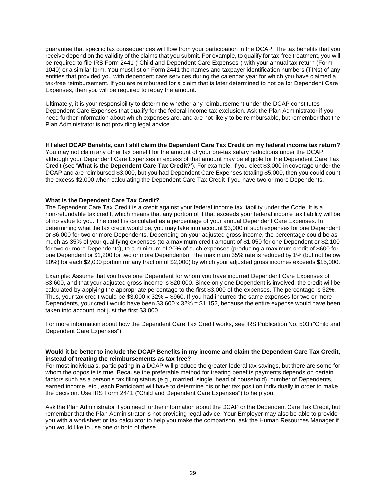guarantee that specific tax consequences will flow from your participation in the DCAP. The tax benefits that you receive depend on the validity of the claims that you submit. For example, to qualify for tax-free treatment, you will be required to file IRS Form 2441 ("Child and Dependent Care Expenses") with your annual tax return (Form 1040) or a similar form. You must list on Form 2441 the names and taxpayer identification numbers (TINs) of any entities that provided you with dependent care services during the calendar year for which you have claimed a tax-free reimbursement. If you are reimbursed for a claim that is later determined to not be for Dependent Care Expenses, then you will be required to repay the amount.

Ultimately, it is your responsibility to determine whether any reimbursement under the DCAP constitutes Dependent Care Expenses that qualify for the federal income tax exclusion. Ask the Plan Administrator if you need further information about which expenses are, and are not likely to be reimbursable, but remember that the Plan Administrator is not providing legal advice.

**If I elect DCAP Benefits, can I still claim the Dependent Care Tax Credit on my federal income tax return?**  You may not claim any other tax benefit for the amount of your pre-tax salary reductions under the DCAP, although your Dependent Care Expenses in excess of that amount may be eligible for the Dependent Care Tax Credit (see '**What is the Dependent Care Tax Credit?**'). For example, if you elect \$3,000 in coverage under the DCAP and are reimbursed \$3,000, but you had Dependent Care Expenses totaling \$5,000, then you could count the excess \$2,000 when calculating the Dependent Care Tax Credit if you have two or more Dependents.

#### **What is the Dependent Care Tax Credit?**

The Dependent Care Tax Credit is a credit against your federal income tax liability under the Code. It is a non-refundable tax credit, which means that any portion of it that exceeds your federal income tax liability will be of no value to you. The credit is calculated as a percentage of your annual Dependent Care Expenses. In determining what the tax credit would be, you may take into account \$3,000 of such expenses for one Dependent or \$6,000 for two or more Dependents. Depending on your adjusted gross income, the percentage could be as much as 35% of your qualifying expenses (to a maximum credit amount of \$1,050 for one Dependent or \$2,100 for two or more Dependents), to a minimum of 20% of such expenses (producing a maximum credit of \$600 for one Dependent or \$1,200 for two or more Dependents). The maximum 35% rate is reduced by 1% (but not below 20%) for each \$2,000 portion (or any fraction of \$2,000) by which your adjusted gross incomes exceeds \$15,000.

Example: Assume that you have one Dependent for whom you have incurred Dependent Care Expenses of \$3,600, and that your adjusted gross income is \$20,000. Since only one Dependent is involved, the credit will be calculated by applying the appropriate percentage to the first \$3,000 of the expenses. The percentage is 32%. Thus, your tax credit would be  $$3,000 \times 32\% = $960$ . If you had incurred the same expenses for two or more Dependents, your credit would have been  $$3,600 \times 32\% = $1,152$ , because the entire expense would have been taken into account, not just the first \$3,000.

For more information about how the Dependent Care Tax Credit works, see IRS Publication No. 503 ("Child and Dependent Care Expenses").

#### **Would it be better to include the DCAP Benefits in my income and claim the Dependent Care Tax Credit, instead of treating the reimbursements as tax free?**

For most individuals, participating in a DCAP will produce the greater federal tax savings, but there are some for whom the opposite is true. Because the preferable method for treating benefits payments depends on certain factors such as a person's tax filing status (e.g., married, single, head of household), number of Dependents, earned income, etc., each Participant will have to determine his or her tax position individually in order to make the decision. Use IRS Form 2441 ("Child and Dependent Care Expenses") to help you.

Ask the Plan Administrator if you need further information about the DCAP or the Dependent Care Tax Credit, but remember that the Plan Administrator is not providing legal advice. Your Employer may also be able to provide you with a worksheet or tax calculator to help you make the comparison, ask the Human Resources Manager if you would like to use one or both of these.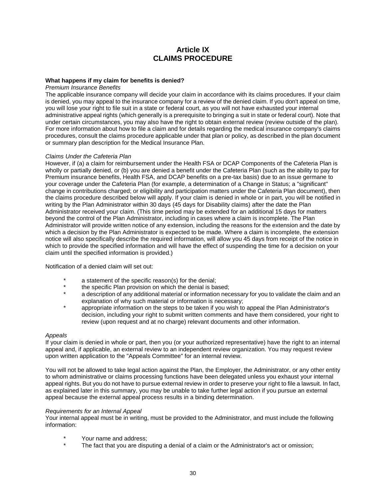## **Article IX CLAIMS PROCEDURE**

#### **What happens if my claim for benefits is denied?**

#### *Premium Insurance Benefits*

The applicable insurance company will decide your claim in accordance with its claims procedures. If your claim is denied, you may appeal to the insurance company for a review of the denied claim. If you don't appeal on time, you will lose your right to file suit in a state or federal court, as you will not have exhausted your internal administrative appeal rights (which generally is a prerequisite to bringing a suit in state or federal court). Note that under certain circumstances, you may also have the right to obtain external review (review outside of the plan). For more information about how to file a claim and for details regarding the medical insurance company's claims procedures, consult the claims procedure applicable under that plan or policy, as described in the plan document or summary plan description for the Medical Insurance Plan.

#### *Claims Under the Cafeteria Plan*

However, if (a) a claim for reimbursement under the Health FSA or DCAP Components of the Cafeteria Plan is wholly or partially denied, or (b) you are denied a benefit under the Cafeteria Plan (such as the ability to pay for Premium insurance benefits, Health FSA, and DCAP benefits on a pre-tax basis) due to an issue germane to your coverage under the Cafeteria Plan (for example, a determination of a Change in Status; a "significant" change in contributions charged; or eligibility and participation matters under the Cafeteria Plan document), then the claims procedure described below will apply. If your claim is denied in whole or in part, you will be notified in writing by the Plan Administrator within 30 days (45 days for Disability claims) after the date the Plan Administrator received your claim. (This time period may be extended for an additional 15 days for matters beyond the control of the Plan Administrator, including in cases where a claim is incomplete. The Plan Administrator will provide written notice of any extension, including the reasons for the extension and the date by which a decision by the Plan Administrator is expected to be made. Where a claim is incomplete, the extension notice will also specifically describe the required information, will allow you 45 days from receipt of the notice in which to provide the specified information and will have the effect of suspending the time for a decision on your claim until the specified information is provided.)

#### Notification of a denied claim will set out:

- \* a statement of the specific reason(s) for the denial;
- \* the specific Plan provision on which the denial is based;<br>
2. description of any additional material or information poor
- a description of any additional material or information necessary for you to validate the claim and an explanation of why such material or information is necessary;
- appropriate information on the steps to be taken if you wish to appeal the Plan Administrator's decision, including your right to submit written comments and have them considered, your right to review (upon request and at no charge) relevant documents and other information.

#### *Appeals*

If your claim is denied in whole or part, then you (or your authorized representative) have the right to an internal appeal and, if applicable, an external review to an independent review organization. You may request review upon written application to the "Appeals Committee" for an internal review.

You will not be allowed to take legal action against the Plan, the Employer, the Administrator, or any other entity to whom administrative or claims processing functions have been delegated unless you exhaust your internal appeal rights. But you do not have to pursue external review in order to preserve your right to file a lawsuit. In fact, as explained later in this summary, you may be unable to take further legal action if you pursue an external appeal because the external appeal process results in a binding determination.

#### *Requirements for an Internal Appeal*

Your internal appeal must be in writing, must be provided to the Administrator, and must include the following information:

- Your name and address:
- The fact that you are disputing a denial of a claim or the Administrator's act or omission;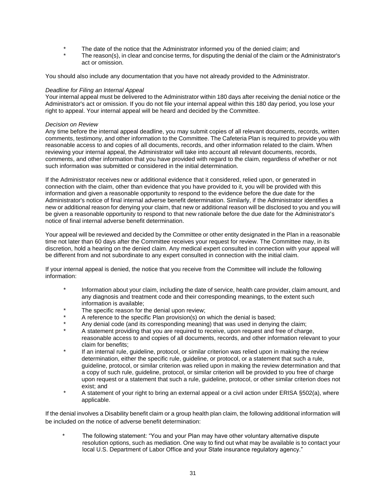- The date of the notice that the Administrator informed you of the denied claim; and
- The reason(s), in clear and concise terms, for disputing the denial of the claim or the Administrator's act or omission.

You should also include any documentation that you have not already provided to the Administrator.

#### *Deadline for Filing an Internal Appeal*

Your internal appeal must be delivered to the Administrator within 180 days after receiving the denial notice or the Administrator's act or omission. If you do not file your internal appeal within this 180 day period, you lose your right to appeal. Your internal appeal will be heard and decided by the Committee.

#### *Decision on Review*

Any time before the internal appeal deadline, you may submit copies of all relevant documents, records, written comments, testimony, and other information to the Committee. The Cafeteria Plan is required to provide you with reasonable access to and copies of all documents, records, and other information related to the claim. When reviewing your internal appeal, the Administrator will take into account all relevant documents, records, comments, and other information that you have provided with regard to the claim, regardless of whether or not such information was submitted or considered in the initial determination.

If the Administrator receives new or additional evidence that it considered, relied upon, or generated in connection with the claim, other than evidence that you have provided to it, you will be provided with this information and given a reasonable opportunity to respond to the evidence before the due date for the Administrator's notice of final internal adverse benefit determination. Similarly, if the Administrator identifies a new or additional reason for denying your claim, that new or additional reason will be disclosed to you and you will be given a reasonable opportunity to respond to that new rationale before the due date for the Administrator's notice of final internal adverse benefit determination.

Your appeal will be reviewed and decided by the Committee or other entity designated in the Plan in a reasonable time not later than 60 days after the Committee receives your request for review. The Committee may, in its discretion, hold a hearing on the denied claim. Any medical expert consulted in connection with your appeal will be different from and not subordinate to any expert consulted in connection with the initial claim.

If your internal appeal is denied, the notice that you receive from the Committee will include the following information:

- Information about your claim, including the date of service, health care provider, claim amount, and any diagnosis and treatment code and their corresponding meanings, to the extent such information is available;
- The specific reason for the denial upon review;
- A reference to the specific Plan provision(s) on which the denial is based;
- Any denial code (and its corresponding meaning) that was used in denying the claim;
- A statement providing that you are required to receive, upon request and free of charge, reasonable access to and copies of all documents, records, and other information relevant to your claim for benefits;
- If an internal rule, guideline, protocol, or similar criterion was relied upon in making the review determination, either the specific rule, guideline, or protocol, or a statement that such a rule, guideline, protocol, or similar criterion was relied upon in making the review determination and that a copy of such rule, guideline, protocol, or similar criterion will be provided to you free of charge upon request or a statement that such a rule, guideline, protocol, or other similar criterion does not exist; and
- A statement of your right to bring an external appeal or a civil action under ERISA §502(a), where applicable.

If the denial involves a Disability benefit claim or a group health plan claim, the following additional information will be included on the notice of adverse benefit determination:

The following statement: "You and your Plan may have other voluntary alternative dispute resolution options, such as mediation. One way to find out what may be available is to contact your local U.S. Department of Labor Office and your State insurance regulatory agency."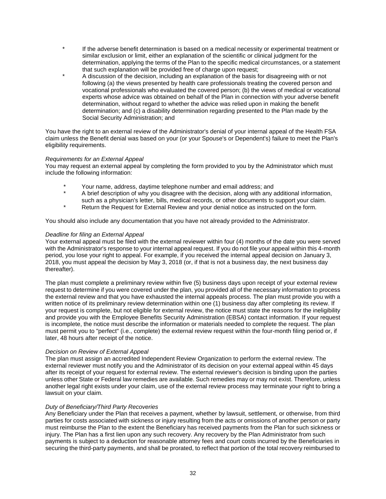- If the adverse benefit determination is based on a medical necessity or experimental treatment or similar exclusion or limit, either an explanation of the scientific or clinical judgment for the determination, applying the terms of the Plan to the specific medical circumstances, or a statement that such explanation will be provided free of charge upon request;
- A discussion of the decision, including an explanation of the basis for disagreeing with or not following (a) the views presented by health care professionals treating the covered person and vocational professionals who evaluated the covered person; (b) the views of medical or vocational experts whose advice was obtained on behalf of the Plan in connection with your adverse benefit determination, without regard to whether the advice was relied upon in making the benefit determination; and (c) a disability determination regarding presented to the Plan made by the Social Security Administration; and

You have the right to an external review of the Administrator's denial of your internal appeal of the Health FSA claim unless the Benefit denial was based on your (or your Spouse's or Dependent's) failure to meet the Plan's eligibility requirements.

#### *Requirements for an External Appeal*

You may request an external appeal by completing the form provided to you by the Administrator which must include the following information:

- Your name, address, daytime telephone number and email address; and
- A brief description of why you disagree with the decision, along with any additional information,
- such as a physician's letter, bills, medical records, or other documents to support your claim.
- Return the Request for External Review and your denial notice as instructed on the form.

You should also include any documentation that you have not already provided to the Administrator.

#### *Deadline for filing an External Appeal*

Your external appeal must be filed with the external reviewer within four (4) months of the date you were served with the Administrator's response to your internal appeal request. If you do not file your appeal within this 4-month period, you lose your right to appeal. For example, if you received the internal appeal decision on January 3, 2018, you must appeal the decision by May 3, 2018 (or, if that is not a business day, the next business day thereafter).

The plan must complete a preliminary review within five (5) business days upon receipt of your external review request to determine if you were covered under the plan, you provided all of the necessary information to process the external review and that you have exhausted the internal appeals process. The plan must provide you with a written notice of its preliminary review determination within one (1) business day after completing its review. If your request is complete, but not eligible for external review, the notice must state the reasons for the ineligibility and provide you with the Employee Benefits Security Administration (EBSA) contact information. If your request is incomplete, the notice must describe the information or materials needed to complete the request. The plan must permit you to "perfect" (i.e., complete) the external review request within the four-month filing period or, if later, 48 hours after receipt of the notice.

#### *Decision on Review of External Appeal*

The plan must assign an accredited Independent Review Organization to perform the external review. The external reviewer must notify you and the Administrator of its decision on your external appeal within 45 days after its receipt of your request for external review. The external reviewer's decision is binding upon the parties unless other State or Federal law remedies are available. Such remedies may or may not exist. Therefore, unless another legal right exists under your claim, use of the external review process may terminate your right to bring a lawsuit on your claim.

#### *Duty of Beneficiary/Third Party Recoveries*

Any Beneficiary under the Plan that receives a payment, whether by lawsuit, settlement, or otherwise, from third parties for costs associated with sickness or injury resulting from the acts or omissions of another person or party must reimburse the Plan to the extent the Beneficiary has received payments from the Plan for such sickness or injury. The Plan has a first lien upon any such recovery. Any recovery by the Plan Administrator from such payments is subject to a deduction for reasonable attorney fees and court costs incurred by the Beneficiaries in securing the third-party payments, and shall be prorated, to reflect that portion of the total recovery reimbursed to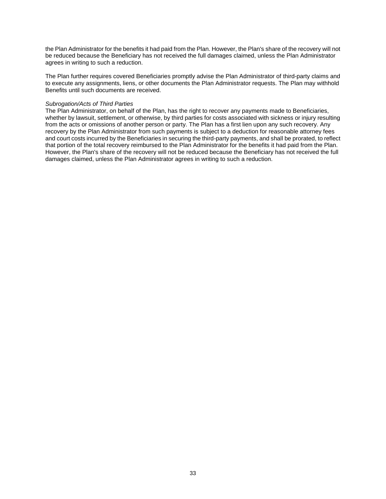the Plan Administrator for the benefits it had paid from the Plan. However, the Plan's share of the recovery will not be reduced because the Beneficiary has not received the full damages claimed, unless the Plan Administrator agrees in writing to such a reduction.

The Plan further requires covered Beneficiaries promptly advise the Plan Administrator of third-party claims and to execute any assignments, liens, or other documents the Plan Administrator requests. The Plan may withhold Benefits until such documents are received.

#### *Subrogation/Acts of Third Parties*

The Plan Administrator, on behalf of the Plan, has the right to recover any payments made to Beneficiaries, whether by lawsuit, settlement, or otherwise, by third parties for costs associated with sickness or injury resulting from the acts or omissions of another person or party. The Plan has a first lien upon any such recovery. Any recovery by the Plan Administrator from such payments is subject to a deduction for reasonable attorney fees and court costs incurred by the Beneficiaries in securing the third-party payments, and shall be prorated, to reflect that portion of the total recovery reimbursed to the Plan Administrator for the benefits it had paid from the Plan. However, the Plan's share of the recovery will not be reduced because the Beneficiary has not received the full damages claimed, unless the Plan Administrator agrees in writing to such a reduction.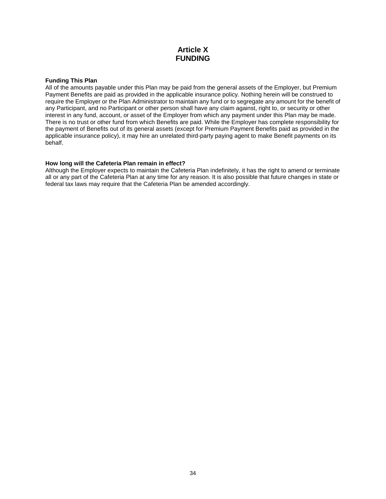## **Article X FUNDING**

#### **Funding This Plan**

All of the amounts payable under this Plan may be paid from the general assets of the Employer, but Premium Payment Benefits are paid as provided in the applicable insurance policy. Nothing herein will be construed to require the Employer or the Plan Administrator to maintain any fund or to segregate any amount for the benefit of any Participant, and no Participant or other person shall have any claim against, right to, or security or other interest in any fund, account, or asset of the Employer from which any payment under this Plan may be made. There is no trust or other fund from which Benefits are paid. While the Employer has complete responsibility for the payment of Benefits out of its general assets (except for Premium Payment Benefits paid as provided in the applicable insurance policy), it may hire an unrelated third-party paying agent to make Benefit payments on its behalf.

#### **How long will the Cafeteria Plan remain in effect?**

Although the Employer expects to maintain the Cafeteria Plan indefinitely, it has the right to amend or terminate all or any part of the Cafeteria Plan at any time for any reason. It is also possible that future changes in state or federal tax laws may require that the Cafeteria Plan be amended accordingly.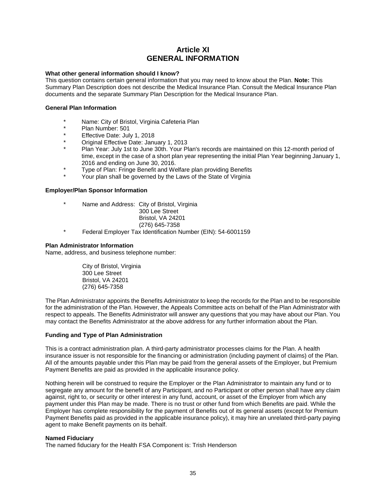## **Article XI GENERAL INFORMATION**

#### **What other general information should I know?**

This question contains certain general information that you may need to know about the Plan. **Note:** This Summary Plan Description does not describe the Medical Insurance Plan. Consult the Medical Insurance Plan documents and the separate Summary Plan Description for the Medical Insurance Plan.

#### **General Plan Information**

- \* Name: City of Bristol, Virginia Cafeteria Plan
- Plan Number: 501
- Effective Date: July 1, 2018
- Original Effective Date: January 1, 2013
- Plan Year: July 1st to June 30th. Your Plan's records are maintained on this 12-month period of time, except in the case of a short plan year representing the initial Plan Year beginning January 1, 2016 and ending on June 30, 2016.
- Type of Plan: Fringe Benefit and Welfare plan providing Benefits
- Your plan shall be governed by the Laws of the State of Virginia

#### **Employer/Plan Sponsor Information**

- \* Name and Address: City of Bristol, Virginia
	- 300 Lee Street Bristol, VA 24201 (276) 645-7358
- \* Federal Employer Tax Identification Number (EIN): 54-6001159

#### **Plan Administrator Information**

Name, address, and business telephone number:

City of Bristol, Virginia 300 Lee Street Bristol, VA 24201 (276) 645-7358

The Plan Administrator appoints the Benefits Administrator to keep the records for the Plan and to be responsible for the administration of the Plan. However, the Appeals Committee acts on behalf of the Plan Administrator with respect to appeals. The Benefits Administrator will answer any questions that you may have about our Plan. You may contact the Benefits Administrator at the above address for any further information about the Plan.

#### **Funding and Type of Plan Administration**

This is a contract administration plan. A third-party administrator processes claims for the Plan. A health insurance issuer is not responsible for the financing or administration (including payment of claims) of the Plan. All of the amounts payable under this Plan may be paid from the general assets of the Employer, but Premium Payment Benefits are paid as provided in the applicable insurance policy.

Nothing herein will be construed to require the Employer or the Plan Administrator to maintain any fund or to segregate any amount for the benefit of any Participant, and no Participant or other person shall have any claim against, right to, or security or other interest in any fund, account, or asset of the Employer from which any payment under this Plan may be made. There is no trust or other fund from which Benefits are paid. While the Employer has complete responsibility for the payment of Benefits out of its general assets (except for Premium Payment Benefits paid as provided in the applicable insurance policy), it may hire an unrelated third-party paying agent to make Benefit payments on its behalf.

#### **Named Fiduciary**

The named fiduciary for the Health FSA Component is: Trish Henderson